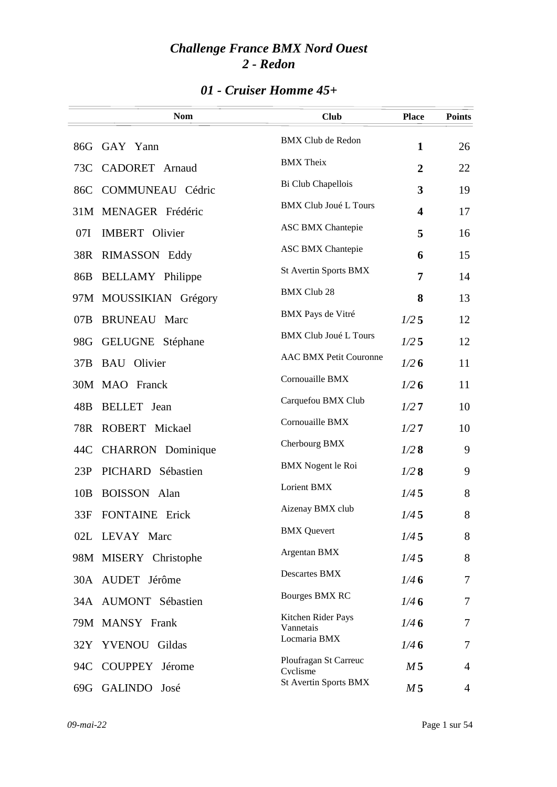### *01 - Cruiser Homme 45+*

|     | <b>Nom</b>              | <b>Club</b>                       | <b>Place</b>            | <b>Points</b>  |
|-----|-------------------------|-----------------------------------|-------------------------|----------------|
|     | 86G GAY Yann            | <b>BMX Club de Redon</b>          | $\mathbf{1}$            | 26             |
| 73C | CADORET Arnaud          | <b>BMX</b> Theix                  | $\overline{2}$          | 22             |
| 86C | COMMUNEAU Cédric        | Bi Club Chapellois                | 3                       | 19             |
|     | 31M MENAGER Frédéric    | <b>BMX Club Joué L Tours</b>      | $\overline{\mathbf{4}}$ | 17             |
| 07I | <b>IMBERT</b> Olivier   | <b>ASC BMX Chantepie</b>          | 5                       | 16             |
| 38R | RIMASSON Eddy           | <b>ASC BMX Chantepie</b>          | 6                       | 15             |
| 86B | <b>BELLAMY</b> Philippe | St Avertin Sports BMX             | 7                       | 14             |
|     | 97M MOUSSIKIAN Grégory  | <b>BMX Club 28</b>                | 8                       | 13             |
| 07B | <b>BRUNEAU</b><br>Marc  | BMX Pays de Vitré                 | $1/2$ 5                 | 12             |
| 98G | <b>GELUGNE</b> Stéphane | <b>BMX Club Joué L Tours</b>      | $1/2$ 5                 | 12             |
| 37B | <b>BAU</b> Olivier      | <b>AAC BMX Petit Couronne</b>     | 1/26                    | 11             |
|     | 30M MAO Franck          | Cornouaille BMX                   | 1/26                    | 11             |
| 48B | <b>BELLET</b> Jean      | Carquefou BMX Club                | 1/27                    | 10             |
| 78R | ROBERT Mickael          | Cornouaille BMX                   | 1/27                    | 10             |
| 44C | CHARRON Dominique       | Cherbourg BMX                     | 1/28                    | 9              |
| 23P | PICHARD Sébastien       | <b>BMX</b> Nogent le Roi          | 1/28                    | 9              |
| 10B | <b>BOISSON</b> Alan     | Lorient BMX                       | 1/45                    | 8              |
| 33F | <b>FONTAINE</b> Erick   | Aizenay BMX club                  | 1/45                    | 8              |
|     | 02L LEVAY Marc          | <b>BMX</b> Quevert                | 1/45                    | 8              |
|     | 98M MISERY Christophe   | Argentan BMX                      | 1/45                    | 8              |
|     | 30A AUDET Jérôme        | <b>Descartes BMX</b>              | 1/46                    | 7              |
|     | 34A AUMONT Sébastien    | Bourges BMX RC                    | 1/46                    | 7              |
|     | 79M MANSY Frank         | Kitchen Rider Pays<br>Vannetais   | 1/46                    | 7              |
|     | 32Y YVENOU Gildas       | Locmaria BMX                      | 1/46                    | 7              |
| 94C | COUPPEY Jérome          | Ploufragan St Carreuc<br>Cyclisme | M 5                     | $\overline{4}$ |
|     | 69G GALINDO José        | St Avertin Sports BMX             | M <sub>5</sub>          | 4              |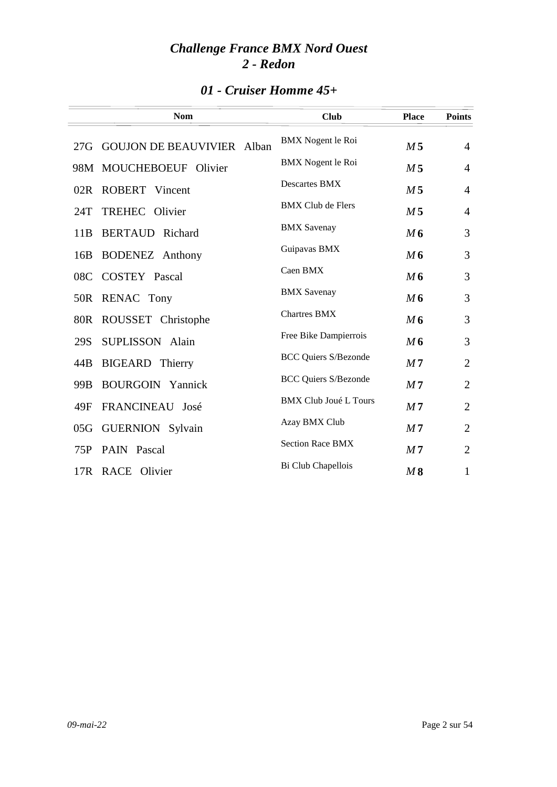|  |  | 01 - Cruiser Homme 45+ |  |
|--|--|------------------------|--|
|--|--|------------------------|--|

|     | <b>Nom</b>                     | <b>Club</b>                  | <b>Place</b>   | <b>Points</b>  |
|-----|--------------------------------|------------------------------|----------------|----------------|
|     | 27G GOUJON DE BEAUVIVIER Alban | <b>BMX</b> Nogent le Roi     | M <sub>5</sub> | $\overline{4}$ |
|     | 98M MOUCHEBOEUF Olivier        | <b>BMX</b> Nogent le Roi     | M <sub>5</sub> | $\overline{4}$ |
| 02R | <b>ROBERT</b> Vincent          | Descartes BMX                | M <sub>5</sub> | $\overline{4}$ |
| 24T | TREHEC Olivier                 | <b>BMX Club de Flers</b>     | M <sub>5</sub> | $\overline{4}$ |
| 11B | <b>BERTAUD</b> Richard         | <b>BMX</b> Savenay           | M6             | 3              |
| 16B | <b>BODENEZ</b> Anthony         | Guipavas BMX                 | M6             | 3              |
| 08C | <b>COSTEY Pascal</b>           | Caen BMX                     | M6             | 3              |
| 50R | RENAC Tony                     | <b>BMX</b> Savenay           | M6             | 3              |
|     | 80R ROUSSET Christophe         | <b>Chartres BMX</b>          | M6             | 3              |
| 29S | SUPLISSON Alain                | Free Bike Dampierrois        | M6             | 3              |
| 44B | <b>BIGEARD</b> Thierry         | <b>BCC Quiers S/Bezonde</b>  | M <sub>7</sub> | $\overline{2}$ |
| 99B | <b>BOURGOIN</b> Yannick        | <b>BCC Quiers S/Bezonde</b>  | M <sub>7</sub> | $\overline{2}$ |
| 49F | FRANCINEAU José                | <b>BMX Club Joué L Tours</b> | M <sub>7</sub> | $\overline{2}$ |
| 05G | <b>GUERNION</b> Sylvain        | Azay BMX Club                | M <sub>7</sub> | $\overline{2}$ |
| 75P | PAIN Pascal                    | <b>Section Race BMX</b>      | M <sub>7</sub> | $\overline{2}$ |
| 17R | RACE Olivier                   | Bi Club Chapellois           | M8             | $\mathbf{1}$   |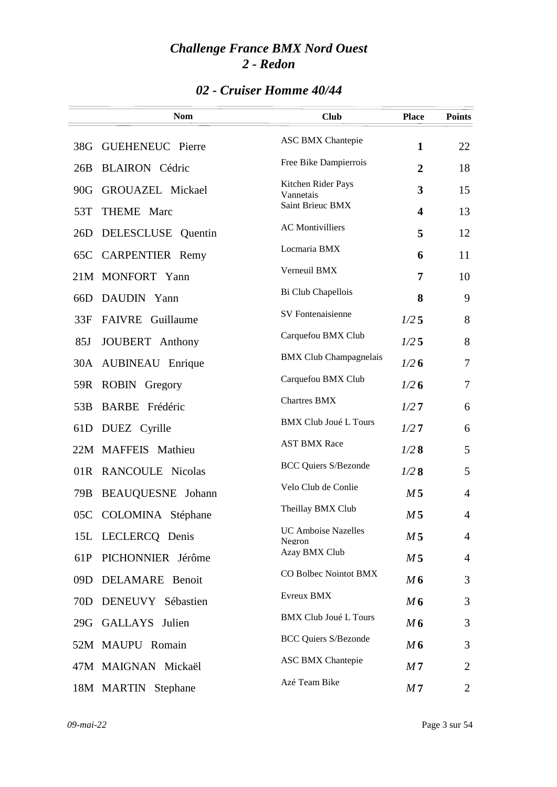### *02 - Cruiser Homme 40/44*

|                 | <b>Nom</b>              | <b>Club</b>                     | <b>Place</b>            | <b>Points</b>  |
|-----------------|-------------------------|---------------------------------|-------------------------|----------------|
| 38G             | <b>GUEHENEUC</b> Pierre | <b>ASC BMX Chantepie</b>        | $\mathbf{1}$            | 22             |
| 26B             | <b>BLAIRON</b> Cédric   | Free Bike Dampierrois           | $\overline{2}$          | 18             |
| 90G             | GROUAZEL Mickael        | Kitchen Rider Pays<br>Vannetais | 3                       | 15             |
| 53T             | THEME Marc              | Saint Brieuc BMX                | $\overline{\mathbf{4}}$ | 13             |
| 26D             | DELESCLUSE Quentin      | <b>AC</b> Montivilliers         | 5                       | 12             |
| 65C             | <b>CARPENTIER Remy</b>  | Locmaria BMX                    | 6                       | 11             |
|                 | 21M MONFORT Yann        | Verneuil BMX                    | 7                       | 10             |
| 66D             | DAUDIN Yann             | Bi Club Chapellois              | 8                       | 9              |
| 33F             | FAIVRE Guillaume        | SV Fontenaisienne               | 1/25                    | 8              |
| 85J             | JOUBERT Anthony         | Carquefou BMX Club              | 1/25                    | 8              |
| 30A             | AUBINEAU Enrique        | <b>BMX Club Champagnelais</b>   | 1/26                    | 7              |
| 59R             | <b>ROBIN</b> Gregory    | Carquefou BMX Club              | 1/26                    | 7              |
| 53B             | BARBE Frédéric          | <b>Chartres BMX</b>             | 1/27                    | 6              |
| 61 <sub>D</sub> | DUEZ Cyrille            | <b>BMX Club Joué L Tours</b>    | 1/27                    | 6              |
|                 | 22M MAFFEIS Mathieu     | <b>AST BMX Race</b>             | 1/28                    | 5              |
|                 | 01R RANCOULE Nicolas    | <b>BCC Quiers S/Bezonde</b>     | 1/28                    | 5              |
| 79B             | BEAUQUESNE Johann       | Velo Club de Conlie             | M <sub>5</sub>          | $\overline{4}$ |
|                 | 05C COLOMINA Stéphane   | Theillay BMX Club               | M <sub>5</sub>          | 4              |
|                 | 15L LECLERCQ Denis      | <b>UC Amboise Nazelles</b>      | M <sub>5</sub>          | $\overline{4}$ |
| 61P             | PICHONNIER Jérôme       | Negron<br>Azay BMX Club         | M <sub>5</sub>          | 4              |
| 09D             | DELAMARE Benoit         | CO Bolbec Nointot BMX           | M6                      | 3              |
| 70 <sub>D</sub> | DENEUVY Sébastien       | Evreux BMX                      | M6                      | 3              |
|                 | 29G GALLAYS Julien      | <b>BMX Club Joué L Tours</b>    | M6                      | 3              |
|                 | 52M MAUPU Romain        | <b>BCC Quiers S/Bezonde</b>     | M6                      | 3              |
|                 | 47M MAIGNAN Mickaël     | <b>ASC BMX Chantepie</b>        | M <sub>7</sub>          | 2              |
|                 | 18M MARTIN Stephane     | Azé Team Bike                   | M <sub>7</sub>          | 2              |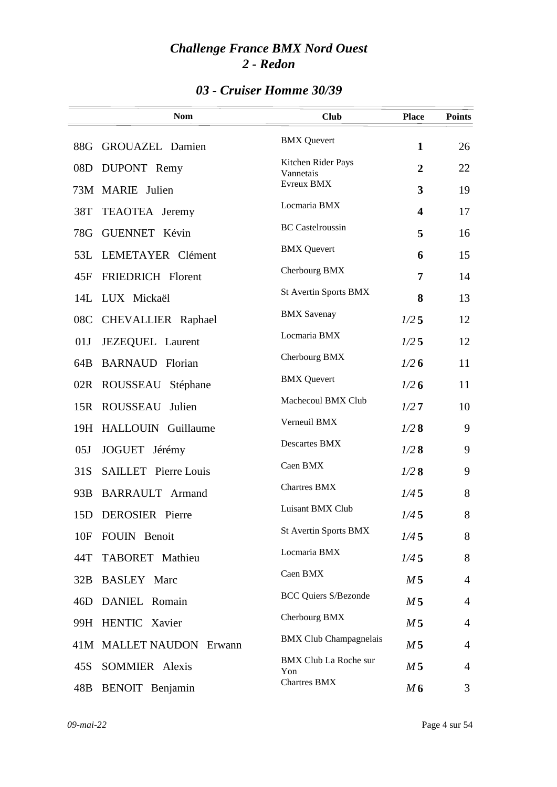### *03 - Cruiser Homme 30/39*

|                 | <b>Nom</b>                  | <b>Club</b>                         | <b>Place</b>            | <b>Points</b>  |
|-----------------|-----------------------------|-------------------------------------|-------------------------|----------------|
| 88G             | GROUAZEL Damien             | <b>BMX</b> Quevert                  | $\mathbf{1}$            | 26             |
| 08D             | DUPONT Remy                 | Kitchen Rider Pays<br>Vannetais     | $\overline{2}$          | 22             |
|                 | 73M MARIE Julien            | Evreux BMX                          | 3                       | 19             |
| 38T             | TEAOTEA Jeremy              | Locmaria BMX                        | $\overline{\mathbf{4}}$ | 17             |
| 78G             | GUENNET Kévin               | <b>BC</b> Castelroussin             | 5                       | 16             |
| 53L             | LEMETAYER Clément           | <b>BMX</b> Quevert                  | 6                       | 15             |
| 45F             | FRIEDRICH Florent           | Cherbourg BMX                       | 7                       | 14             |
|                 | 14L LUX Mickaël             | <b>St Avertin Sports BMX</b>        | 8                       | 13             |
| 08C             | CHEVALLIER Raphael          | <b>BMX</b> Savenay                  | 1/25                    | 12             |
| 01J             | JEZEQUEL Laurent            | Locmaria BMX                        | 1/25                    | 12             |
| 64B             | <b>BARNAUD</b> Florian      | Cherbourg BMX                       | 1/26                    | 11             |
|                 | 02R ROUSSEAU Stéphane       | <b>BMX</b> Quevert                  | 1/26                    | 11             |
| 15R             | <b>ROUSSEAU</b><br>Julien   | Machecoul BMX Club                  | 1/27                    | 10             |
|                 | 19H HALLOUIN Guillaume      | Verneuil BMX                        | 1/28                    | 9              |
| 0 <sub>5J</sub> | JOGUET Jérémy               | Descartes BMX                       | 1/28                    | 9              |
| 31S             | <b>SAILLET</b> Pierre Louis | Caen BMX                            | 1/28                    | 9              |
|                 | 93B BARRAULT Armand         | <b>Chartres BMX</b>                 | 1/45                    | 8              |
|                 | 15D DEROSIER Pierre         | Luisant BMX Club                    | 1/45                    | 8              |
| 10F             | FOUIN Benoit                | <b>St Avertin Sports BMX</b>        | 1/45                    | 8              |
| 44T             | TABORET Mathieu             | Locmaria BMX                        | 1/45                    | 8              |
| 32B             | <b>BASLEY</b> Marc          | Caen BMX                            | M <sub>5</sub>          | $\overline{4}$ |
| 46D             | DANIEL Romain               | <b>BCC Quiers S/Bezonde</b>         | M <sub>5</sub>          | $\overline{4}$ |
|                 | 99H HENTIC Xavier           | Cherbourg BMX                       | M <sub>5</sub>          | $\overline{4}$ |
|                 | 41M MALLET NAUDON Erwann    | <b>BMX Club Champagnelais</b>       | M <sub>5</sub>          | $\overline{4}$ |
| 45S             | SOMMIER Alexis              | <b>BMX Club La Roche sur</b><br>Yon | M <sub>5</sub>          | $\overline{4}$ |
| 48B             | BENOIT Benjamin             | <b>Chartres BMX</b>                 | M6                      | 3              |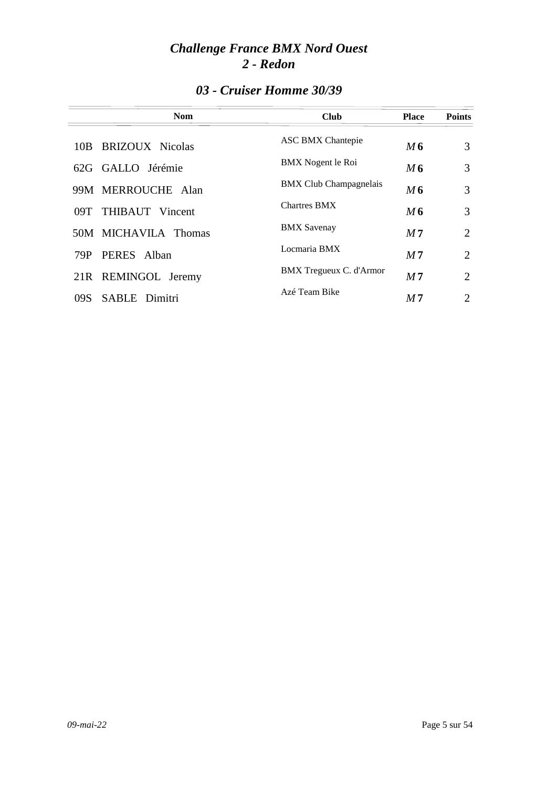| <b>Nom</b>                  | <b>Club</b>                   | <b>Place</b>   | <b>Points</b>  |
|-----------------------------|-------------------------------|----------------|----------------|
| 10B BRIZOUX Nicolas         | ASC BMX Chantepie             | M 6            | 3              |
| 62G GALLO Jérémie           | BMX Nogent le Roi             | M6             | 3              |
| 99M MERROUCHE Alan          | <b>BMX</b> Club Champagnelais | M6             | 3              |
| 09T THIBAUT Vincent         | <b>Chartres BMX</b>           | M6             | 3              |
| 50M MICHAVILA Thomas        | <b>BMX</b> Savenay            | M <sub>7</sub> | $\overline{2}$ |
| PERES Alban<br>79P          | Locmaria BMX                  | M <sub>7</sub> | $\overline{2}$ |
| 21R REMINGOL Jeremy         | BMX Tregueux C. d'Armor       | M <sub>7</sub> | $\overline{2}$ |
| <b>SABLE</b> Dimitri<br>09S | Azé Team Bike                 | M7             | $\overline{2}$ |

### *03 - Cruiser Homme 30/39*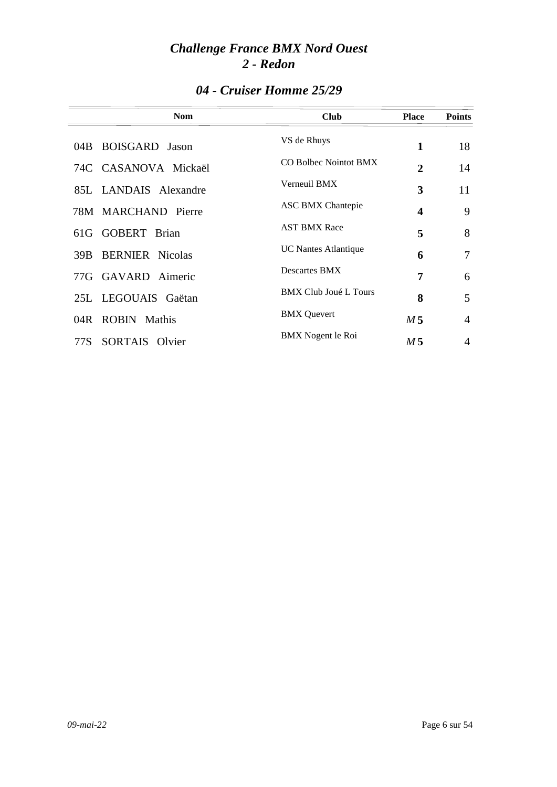|      | <b>Nom</b>             | <b>Club</b>                  | <b>Place</b>   | <b>Points</b> |
|------|------------------------|------------------------------|----------------|---------------|
|      | 04B BOISGARD Jason     | VS de Rhuys                  | 1              | 18            |
|      | 74C CASANOVA Mickaël   | CO Bolbec Nointot BMX        | 2              | 14            |
|      | 85L LANDAIS Alexandre  | Verneuil BMX                 | 3              | 11            |
|      | 78M MARCHAND Pierre    | <b>ASC BMX Chantepie</b>     | 4              | 9             |
|      | 61G GOBERT Brian       | <b>AST BMX Race</b>          | 5              | 8             |
| 39B  | <b>BERNIER</b> Nicolas | <b>UC</b> Nantes Atlantique  | 6              | 7             |
|      | 77G GAVARD Aimeric     | <b>Descartes BMX</b>         | 7              | 6             |
|      | 25L LEGOUAIS Gaëtan    | <b>BMX Club Joué L Tours</b> | 8              | 5             |
|      | 04R ROBIN Mathis       | <b>BMX</b> Quevert           | M <sub>5</sub> | 4             |
| 77S. | SORTAIS Olvier         | BMX Nogent le Roi            | M 5            | 4             |

### *04 - Cruiser Homme 25/29*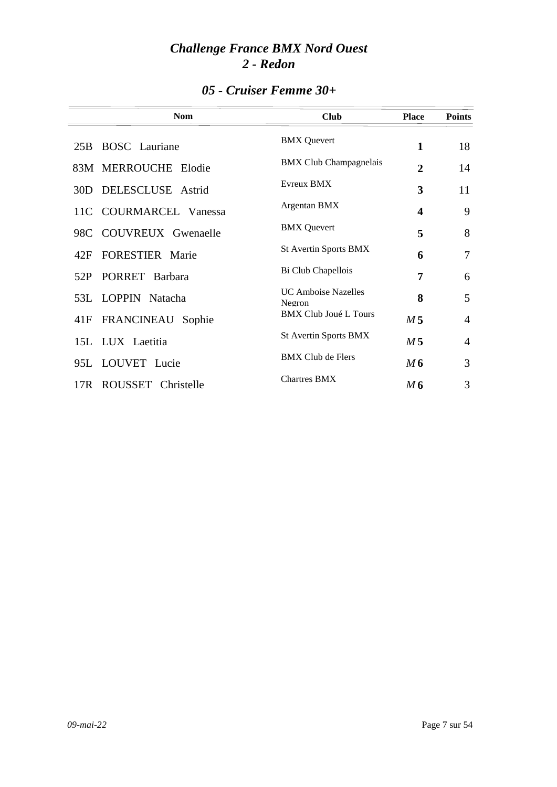| <b>Nom</b>                    | <b>Club</b>                          | <b>Place</b>            | <b>Points</b>  |
|-------------------------------|--------------------------------------|-------------------------|----------------|
| 25B BOSC Lauriane             | <b>BMX</b> Quevert                   | 1                       | 18             |
| 83M MERROUCHE Elodie          | <b>BMX</b> Club Champagnelais        | $\overline{2}$          | 14             |
| 30D DELESCLUSE Astrid         | <b>Evreux BMX</b>                    | 3                       | 11             |
| 11C COURMARCEL Vanessa        | Argentan BMX                         | $\overline{\mathbf{4}}$ | 9              |
| 98C COUVREUX Gwenaelle        | <b>BMX</b> Quevert                   | 5                       | 8              |
| <b>FORESTIER</b> Marie<br>42F | <b>St Avertin Sports BMX</b>         | 6                       | $\overline{7}$ |
| PORRET Barbara<br>52P         | Bi Club Chapellois                   | 7                       | 6              |
| 53L LOPPIN Natacha            | <b>UC</b> Amboise Nazelles<br>Negron | 8                       | 5              |
| FRANCINEAU<br>41F<br>Sophie   | <b>BMX Club Joué L Tours</b>         | M <sub>5</sub>          | $\overline{4}$ |
| 15L LUX Laetitia              | St Avertin Sports BMX                | M <sub>5</sub>          | $\overline{4}$ |
| 95L LOUVET Lucie              | <b>BMX Club de Flers</b>             | M6                      | 3              |
| 17R ROUSSET Christelle        | <b>Chartres BMX</b>                  | M6                      | 3              |

### *05 - Cruiser Femme 30+*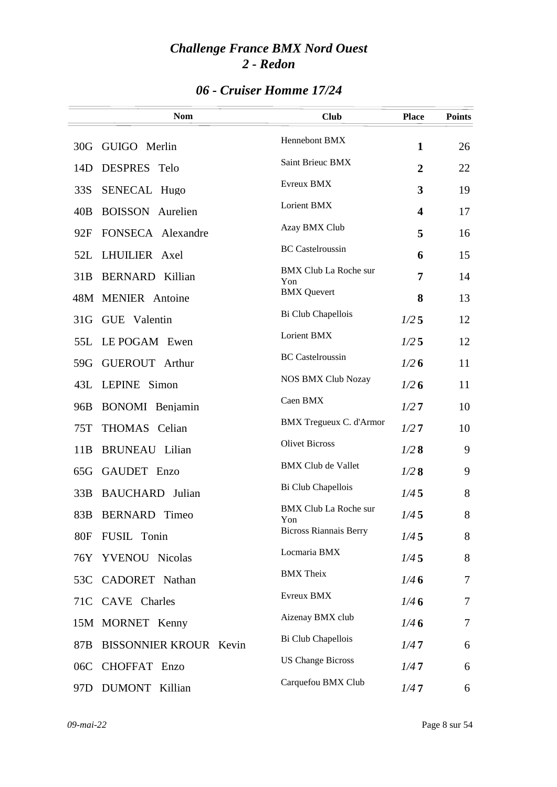|  |  | 06 - Cruiser Homme 17/24 |  |
|--|--|--------------------------|--|
|--|--|--------------------------|--|

|                 | <b>Nom</b>                    | <b>Club</b>                         | <b>Place</b>     | <b>Points</b> |
|-----------------|-------------------------------|-------------------------------------|------------------|---------------|
| 30G             | GUIGO Merlin                  | Hennebont BMX                       | $\mathbf{1}$     | 26            |
| 14D             | DESPRES Telo                  | Saint Brieuc BMX                    | $\boldsymbol{2}$ | 22            |
| 33S             | SENECAL Hugo                  | Evreux BMX                          | 3                | 19            |
| 40B             | <b>BOISSON</b><br>Aurelien    | Lorient BMX                         | 4                | 17            |
| 92F             | FONSECA Alexandre             | Azay BMX Club                       | 5                | 16            |
| 52L             | LHUILIER Axel                 | <b>BC</b> Castelroussin             | 6                | 15            |
| 31B             | <b>BERNARD</b> Killian        | <b>BMX Club La Roche sur</b><br>Yon | 7                | 14            |
|                 | 48M MENIER Antoine            | <b>BMX</b> Quevert                  | 8                | 13            |
| 31 <sub>G</sub> | GUE Valentin                  | Bi Club Chapellois                  | 1/25             | 12            |
| 55L             | LE POGAM Ewen                 | Lorient BMX                         | 1/25             | 12            |
| 59G             | <b>GUEROUT</b> Arthur         | <b>BC</b> Castelroussin             | 1/26             | 11            |
| 43L             | LEPINE Simon                  | <b>NOS BMX Club Nozay</b>           | 1/26             | 11            |
| 96B             | BONOMI Benjamin               | Caen BMX                            | 1/27             | 10            |
| 75T             | THOMAS Celian                 | <b>BMX</b> Tregueux C. d'Armor      | 1/27             | 10            |
| 11B             | <b>BRUNEAU</b> Lilian         | <b>Olivet Bicross</b>               | 1/28             | 9             |
| 65G             | GAUDET Enzo                   | <b>BMX Club de Vallet</b>           | 1/28             | 9             |
| 33B             | <b>BAUCHARD</b> Julian        | Bi Club Chapellois                  | 1/45             | 8             |
| 83B             | <b>BERNARD</b> Timeo          | <b>BMX Club La Roche sur</b><br>Yon | 1/45             | 8             |
| <b>80F</b>      | FUSIL Tonin                   | <b>Bicross Riannais Berry</b>       | 1/45             | 8             |
| 76Y             | YVENOU Nicolas                | Locmaria BMX                        | 1/45             | 8             |
| 53C             | CADORET Nathan                | <b>BMX</b> Theix                    | 1/46             | 7             |
| 71C             | CAVE Charles                  | Evreux BMX                          | 1/46             | 7             |
|                 | 15M MORNET Kenny              | Aizenay BMX club                    | 1/46             | 7             |
| 87B             | <b>BISSONNIER KROUR Kevin</b> | Bi Club Chapellois                  | 1/47             | 6             |
| 06C             | CHOFFAT Enzo                  | <b>US Change Bicross</b>            | 1/47             | 6             |
| 97 <sub>D</sub> | DUMONT Killian                | Carquefou BMX Club                  | 1/47             | 6             |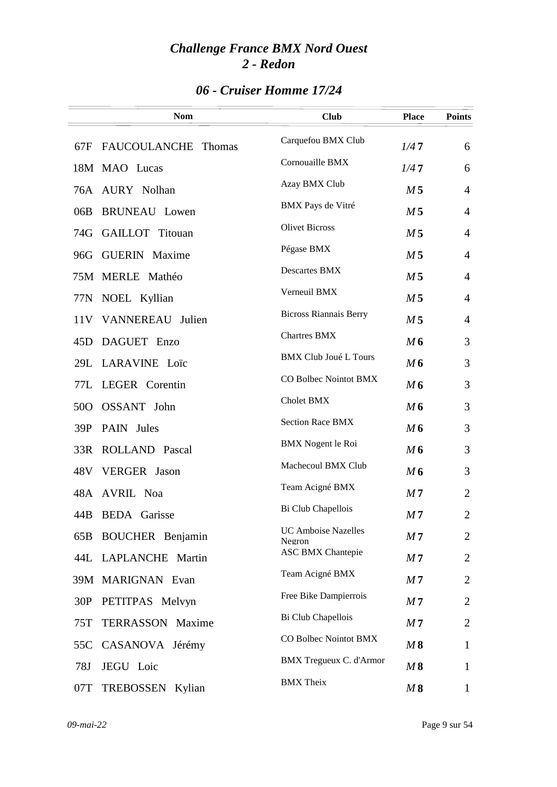|  |  | 06 - Cruiser Homme 17/24 |  |
|--|--|--------------------------|--|
|--|--|--------------------------|--|

|                 | <b>Nom</b>                    | <b>Club</b>                          | <b>Place</b>   | <b>Points</b>  |
|-----------------|-------------------------------|--------------------------------------|----------------|----------------|
| 67F             | FAUCOULANCHE<br><b>Thomas</b> | Carquefou BMX Club                   | 1/47           | 6              |
|                 | 18M MAO Lucas                 | Cornouaille BMX                      | 1/47           | 6              |
| 76A             | AURY Nolhan                   | Azay BMX Club                        | M <sub>5</sub> | 4              |
| 06B             | <b>BRUNEAU</b> Lowen          | BMX Pays de Vitré                    | M <sub>5</sub> | $\overline{4}$ |
| 74G             | <b>GAILLOT</b> Titouan        | <b>Olivet Bicross</b>                | M <sub>5</sub> | $\overline{4}$ |
| 96G             | <b>GUERIN</b> Maxime          | Pégase BMX                           | M <sub>5</sub> | $\overline{4}$ |
|                 | 75M MERLE Mathéo              | <b>Descartes BMX</b>                 | M <sub>5</sub> | $\overline{4}$ |
|                 | 77N NOEL Kyllian              | Verneuil BMX                         | M <sub>5</sub> | $\overline{4}$ |
|                 | 11V VANNEREAU Julien          | <b>Bicross Riannais Berry</b>        | M <sub>5</sub> | $\overline{4}$ |
| 45D             | DAGUET Enzo                   | <b>Chartres BMX</b>                  | M6             | 3              |
| 29L             | LARAVINE Loïc                 | <b>BMX Club Joué L Tours</b>         | M6             | 3              |
| 77L             | LEGER Corentin                | CO Bolbec Nointot BMX                | M <sub>6</sub> | 3              |
| 50 <sub>O</sub> | OSSANT John                   | Cholet BMX                           | M6             | 3              |
| 39P             | PAIN Jules                    | <b>Section Race BMX</b>              | M6             | 3              |
| 33R             | ROLLAND Pascal                | <b>BMX</b> Nogent le Roi             | M6             | 3              |
|                 | 48V VERGER Jason              | Machecoul BMX Club                   | M6             | 3              |
| 48A             | <b>AVRIL Noa</b>              | Team Acigné BMX                      | M <sub>7</sub> | $\overline{2}$ |
| 44B             | <b>BEDA</b> Garisse           | Bi Club Chapellois                   | M <sub>7</sub> | $\overline{2}$ |
| 65B             | <b>BOUCHER</b> Benjamin       | <b>UC Amboise Nazelles</b><br>Negron | M 7            | $\overline{2}$ |
|                 | 44L LAPLANCHE Martin          | <b>ASC BMX Chantepie</b>             | M <sub>7</sub> | $\overline{2}$ |
|                 | 39M MARIGNAN Evan             | Team Acigné BMX                      | M <sub>7</sub> | 2              |
| 30P             | PETITPAS Melvyn               | Free Bike Dampierrois                | M <sub>7</sub> | $\overline{2}$ |
| 75T             | TERRASSON Maxime              | Bi Club Chapellois                   | M <sub>7</sub> | $\overline{2}$ |
| 55C             | CASANOVA Jérémy               | CO Bolbec Nointot BMX                | M8             | $\mathbf{1}$   |
| 78J             | JEGU Loic                     | <b>BMX</b> Tregueux C. d'Armor       | M8             | $\mathbf{1}$   |
| 07T             | TREBOSSEN Kylian              | <b>BMX</b> Theix                     | M8             | $\mathbf{1}$   |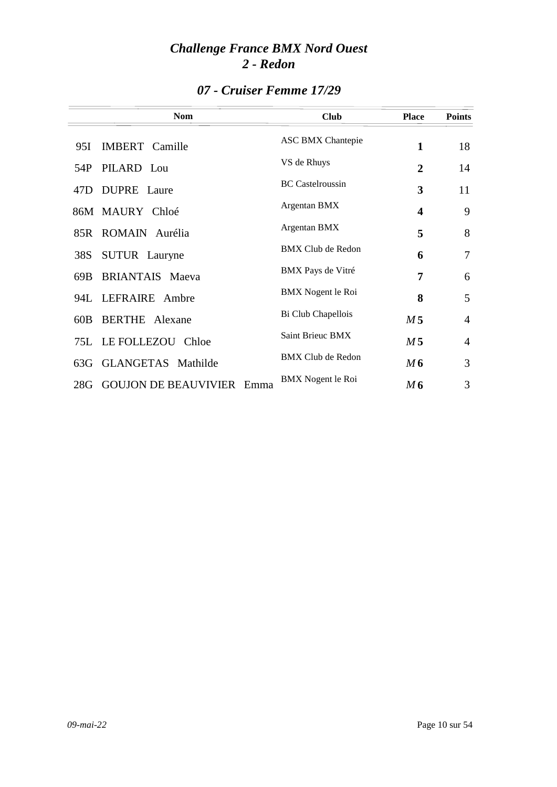|      | <b>Nom</b>                          | <b>Club</b>              | <b>Place</b>            | <b>Points</b>  |
|------|-------------------------------------|--------------------------|-------------------------|----------------|
| 95I. | IMBERT Camille                      | <b>ASC BMX Chantepie</b> | 1                       | 18             |
| 54P  | PILARD Lou                          | VS de Rhuys              | $\overline{2}$          | 14             |
| 47D. | DUPRE Laure                         | <b>BC</b> Castelroussin  | 3                       | 11             |
|      | 86M MAURY Chloé                     | Argentan BMX             | $\overline{\mathbf{4}}$ | 9              |
|      | 85R ROMAIN Aurélia                  | Argentan BMX             | 5                       | 8              |
| 38S  | <b>SUTUR</b> Lauryne                | BMX Club de Redon        | 6                       | 7              |
| 69B  | <b>BRIANTAIS</b> Maeva              | BMX Pays de Vitré        | 7                       | 6              |
|      | 94L LEFRAIRE Ambre                  | <b>BMX</b> Nogent le Roi | 8                       | 5              |
| 60B  | <b>BERTHE</b> Alexane               | Bi Club Chapellois       | M <sub>5</sub>          | $\overline{4}$ |
|      | <b>75L LE FOLLEZOU</b><br>Chloe     | Saint Brieuc BMX         | M <sub>5</sub>          | $\overline{4}$ |
| 63G  | GLANGETAS Mathilde                  | <b>BMX</b> Club de Redon | M6                      | 3              |
| 28G  | <b>GOUJON DE BEAUVIVIER</b><br>Emma | BMX Nogent le Roi        | M 6                     | 3              |

### *07 - Cruiser Femme 17/29*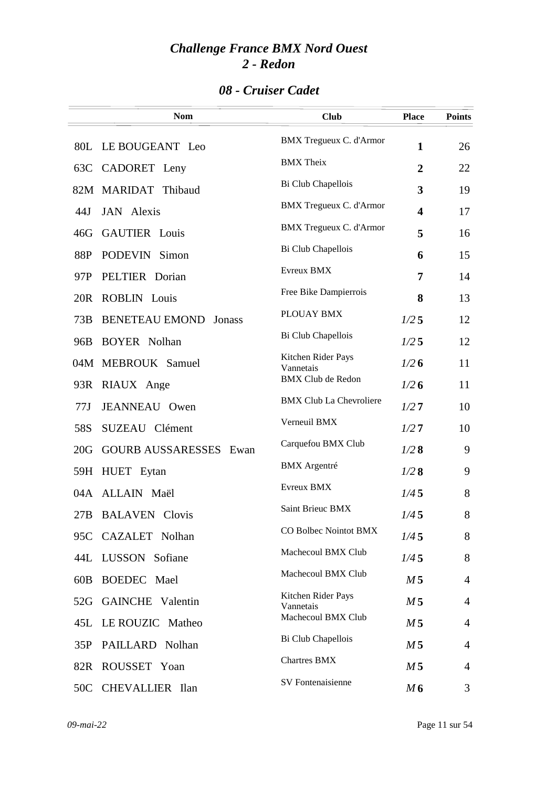### *08 - Cruiser Cadet*

|                 | <b>Nom</b>                      | <b>Club</b>                     | <b>Place</b>   | <b>Points</b>  |
|-----------------|---------------------------------|---------------------------------|----------------|----------------|
|                 | 80L LE BOUGEANT Leo             | <b>BMX Tregueux C. d'Armor</b>  | $\mathbf{1}$   | 26             |
| 63C             | CADORET Leny                    | <b>BMX</b> Theix                | $\overline{2}$ | 22             |
|                 | 82M MARIDAT Thibaud             | Bi Club Chapellois              | 3              | 19             |
| 44J             | <b>JAN</b> Alexis               | <b>BMX</b> Tregueux C. d'Armor  | 4              | 17             |
| 46G             | <b>GAUTIER</b> Louis            | <b>BMX</b> Tregueux C. d'Armor  | 5              | 16             |
| 88P             | PODEVIN Simon                   | Bi Club Chapellois              | 6              | 15             |
| 97P             | PELTIER Dorian                  | Evreux BMX                      | 7              | 14             |
| 20 <sub>R</sub> | <b>ROBLIN</b> Louis             | Free Bike Dampierrois           | 8              | 13             |
| 73B             | <b>BENETEAU EMOND</b><br>Jonass | PLOUAY BMX                      | 1/25           | 12             |
| 96B             | <b>BOYER Nolhan</b>             | Bi Club Chapellois              | 1/25           | 12             |
|                 | 04M MEBROUK Samuel              | Kitchen Rider Pays<br>Vannetais | 1/26           | 11             |
|                 | 93R RIAUX Ange                  | <b>BMX Club de Redon</b>        | 1/26           | 11             |
| 77J             | <b>JEANNEAU</b> Owen            | <b>BMX Club La Chevroliere</b>  | 1/27           | 10             |
| 58S             | SUZEAU Clément                  | Verneuil BMX                    | 1/27           | 10             |
| 20G             | <b>GOURB AUSSARESSES Ewan</b>   | Carquefou BMX Club              | 1/28           | 9              |
| 59H             | HUET Eytan                      | <b>BMX</b> Argentré             | 1/28           | 9              |
| 04A             | ALLAIN Maël                     | Evreux BMX                      | 1/45           | 8              |
| 27B             | <b>BALAVEN</b> Clovis           | Saint Brieuc BMX                | 1/45           | 8              |
|                 | 95C CAZALET Nolhan              | CO Bolbec Nointot BMX           | 1/45           | 8              |
| 44L             | LUSSON Sofiane                  | Machecoul BMX Club              | 1/45           | 8              |
| 60B             | BOEDEC Mael                     | Machecoul BMX Club              | M <sub>5</sub> | $\overline{4}$ |
| 52G             | <b>GAINCHE</b> Valentin         | Kitchen Rider Pays<br>Vannetais | M <sub>5</sub> | 4              |
| 45L             | LE ROUZIC Matheo                | Machecoul BMX Club              | M <sub>5</sub> | 4              |
| 35P             | PAILLARD Nolhan                 | Bi Club Chapellois              | M <sub>5</sub> | 4              |
| 82R             | ROUSSET Yoan                    | <b>Chartres BMX</b>             | M 5            | $\overline{4}$ |
|                 | 50C CHEVALLIER Ilan             | <b>SV</b> Fontenaisienne        | M6             | 3              |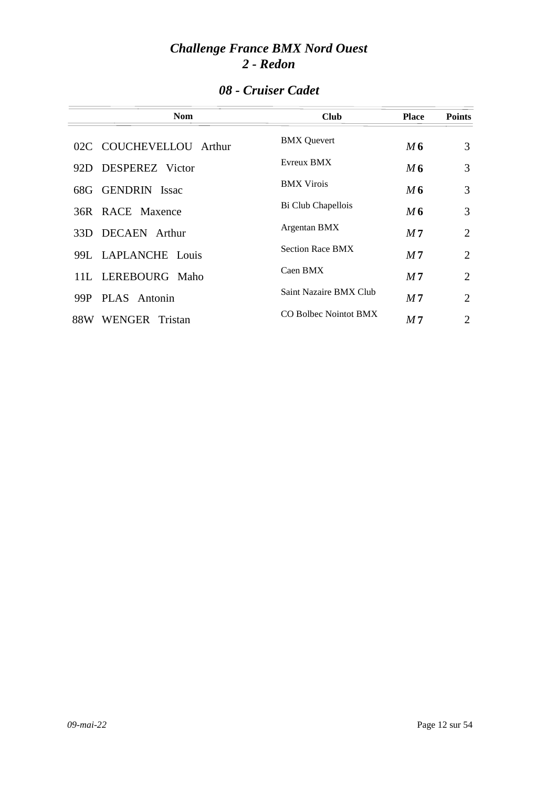|  | 08 - Cruiser Cadet |  |
|--|--------------------|--|
|--|--------------------|--|

| <b>Nom</b>              | <b>Club</b>                  | <b>Place</b>   | <b>Points</b>  |
|-------------------------|------------------------------|----------------|----------------|
| 02C COUCHEVELLOU Arthur | <b>BMX</b> Quevert           | M 6            | 3              |
| 92D DESPEREZ Victor     | Evreux BMX                   | M6             | 3              |
| 68G GENDRIN Issac       | <b>BMX</b> Virois            | M6             | 3              |
| 36R RACE Maxence        | Bi Club Chapellois           | M 6            | 3              |
| 33D DECAEN Arthur       | Argentan BMX                 | M 7            | $\overline{2}$ |
| 99L LAPLANCHE Louis     | <b>Section Race BMX</b>      | M 7            | $\overline{2}$ |
| 11L LEREBOURG Maho      | Caen BMX                     | M <sub>7</sub> | $\overline{2}$ |
| PLAS Antonin<br>99P     | Saint Nazaire BMX Club       | M <sub>7</sub> | 2              |
| WENGER Tristan<br>88W   | <b>CO Bolbec Nointot BMX</b> | M 7            | $\overline{2}$ |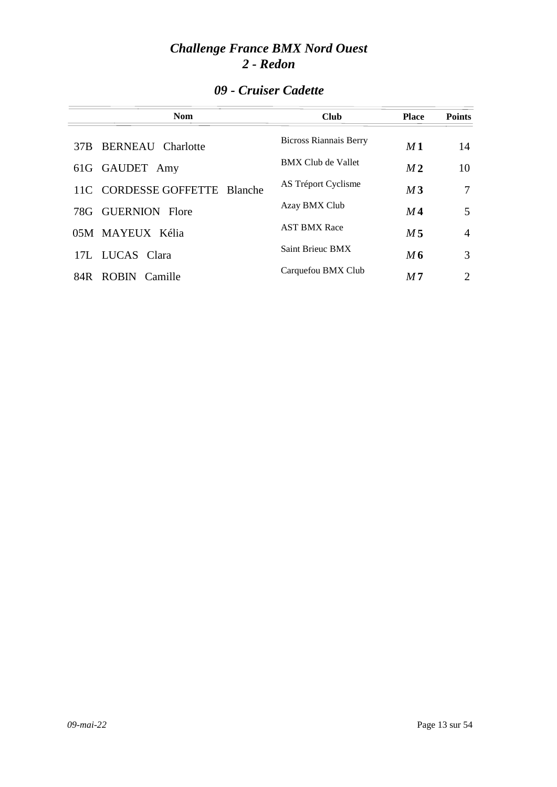### *09 - Cruiser Cadette*

| <b>Nom</b>                      | <b>Club</b>                   | <b>Place</b>   | <b>Points</b>  |
|---------------------------------|-------------------------------|----------------|----------------|
| <b>BERNEAU</b> Charlotte<br>37B | <b>Bicross Riannais Berry</b> | M1             | 14             |
| 61G GAUDET Amy                  | <b>BMX Club de Vallet</b>     | M <sub>2</sub> | 10             |
| 11C CORDESSE GOFFETTE Blanche   | AS Tréport Cyclisme           | M <sub>3</sub> | 7              |
| 78G GUERNION Flore              | Azay BMX Club                 | M4             | 5              |
| 05M MAYEUX Kélia                | <b>AST BMX Race</b>           | M 5            | $\overline{4}$ |
| 17L LUCAS Clara                 | <b>Saint Brieuc BMX</b>       | M6             | 3              |
| ROBIN Camille<br>84R -          | Carquefou BMX Club            | M <sub>7</sub> | 2              |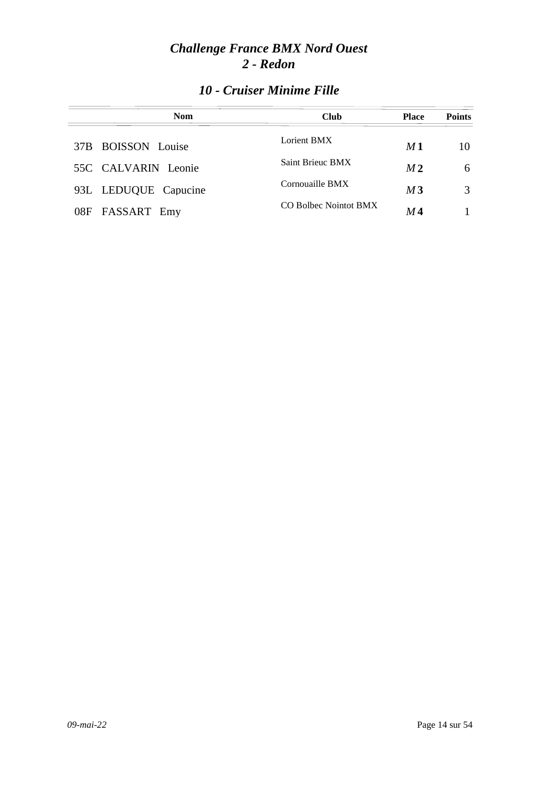| <b>Nom</b>           | <b>Club</b>           | <b>Place</b>   | <b>Points</b> |
|----------------------|-----------------------|----------------|---------------|
| 37B BOISSON Louise   | Lorient BMX           | M1             | 10            |
| 55C CALVARIN Leonie  | Saint Brieuc BMX      | M <sub>2</sub> | 6             |
| 93L LEDUQUE Capucine | Cornouaille BMX       | M <sub>3</sub> |               |
| FASSART Emy<br>08F   | CO Bolbec Nointot BMX | M 4            |               |

### *10 - Cruiser Minime Fille*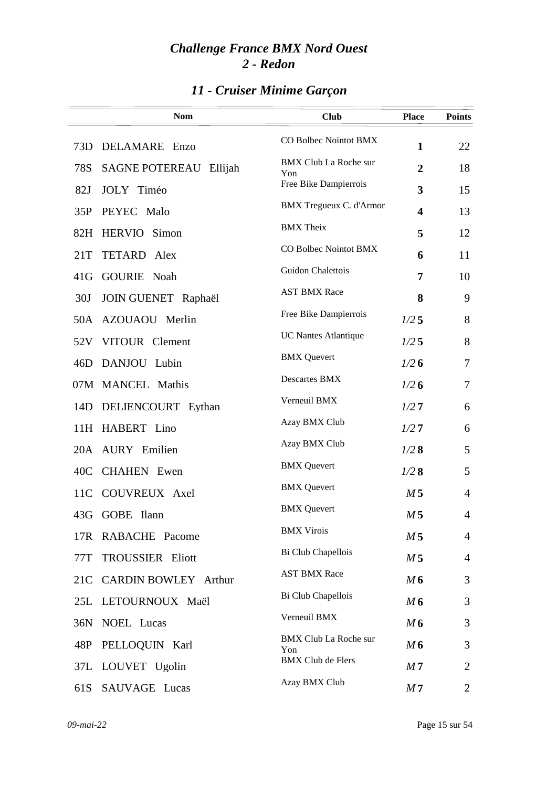## *11 - Cruiser Minime Garçon*

|                 | <b>Nom</b>                       | <b>Club</b>                         | <b>Place</b>   | <b>Points</b>  |
|-----------------|----------------------------------|-------------------------------------|----------------|----------------|
|                 |                                  | CO Bolbec Nointot BMX               |                |                |
| 73D             | DELAMARE Enzo                    | <b>BMX Club La Roche sur</b>        | $\mathbf{1}$   | 22             |
| 78S             | <b>SAGNE POTEREAU</b><br>Ellijah | Yon                                 | $\overline{2}$ | 18             |
| 82J             | JOLY Timéo                       | Free Bike Dampierrois               | 3              | 15             |
| 35P             | PEYEC Malo                       | BMX Tregueux C. d'Armor             | 4              | 13             |
| 82H             | <b>HERVIO</b> Simon              | <b>BMX</b> Theix                    | 5              | 12             |
| 21T             | TETARD Alex                      | CO Bolbec Nointot BMX               | 6              | 11             |
| 41G             | <b>GOURIE</b> Noah               | Guidon Chalettois                   | 7              | 10             |
| 30J             | JOIN GUENET Raphaël              | <b>AST BMX Race</b>                 | 8              | 9              |
|                 | 50A AZOUAOU Merlin               | Free Bike Dampierrois               | 1/25           | 8              |
| 52V             | VITOUR Clement                   | <b>UC Nantes Atlantique</b>         | $1/2$ 5        | 8              |
| 46D             | DANJOU Lubin                     | <b>BMX</b> Quevert                  | 1/26           | 7              |
|                 | 07M MANCEL Mathis                | Descartes BMX                       | 1/26           | 7              |
| 14D             | DELIENCOURT Eythan               | Verneuil BMX                        | 1/27           | 6              |
| 11H             | HABERT Lino                      | Azay BMX Club                       | 1/27           | 6              |
|                 | 20A AURY Emilien                 | Azay BMX Club                       | 1/28           | 5              |
| 40 <sup>C</sup> | <b>CHAHEN</b> Ewen               | <b>BMX</b> Quevert                  | 1/28           | 5              |
| 11 <sup>C</sup> | COUVREUX Axel                    | <b>BMX</b> Quevert                  | M <sub>5</sub> | $\overline{4}$ |
|                 | 43G GOBE Ilann                   | <b>BMX</b> Quevert                  | M <sub>5</sub> | $\overline{4}$ |
|                 | 17R RABACHE Pacome               | <b>BMX Virois</b>                   | M <sub>5</sub> | $\overline{4}$ |
| 77T             | <b>TROUSSIER Eliott</b>          | Bi Club Chapellois                  | M <sub>5</sub> | 4              |
| 21C             | <b>CARDIN BOWLEY Arthur</b>      | <b>AST BMX Race</b>                 | M6             | 3              |
|                 | 25L LETOURNOUX Maël              | Bi Club Chapellois                  | M6             | 3              |
| 36N             | NOEL Lucas                       | Verneuil BMX                        | M6             | 3              |
| 48P             | PELLOQUIN Karl                   | <b>BMX Club La Roche sur</b><br>Yon | M6             | 3              |
|                 | 37L LOUVET Ugolin                | <b>BMX Club de Flers</b>            | M <sub>7</sub> | $\overline{2}$ |
| 61S             | SAUVAGE Lucas                    | Azay BMX Club                       | M <sub>7</sub> | 2              |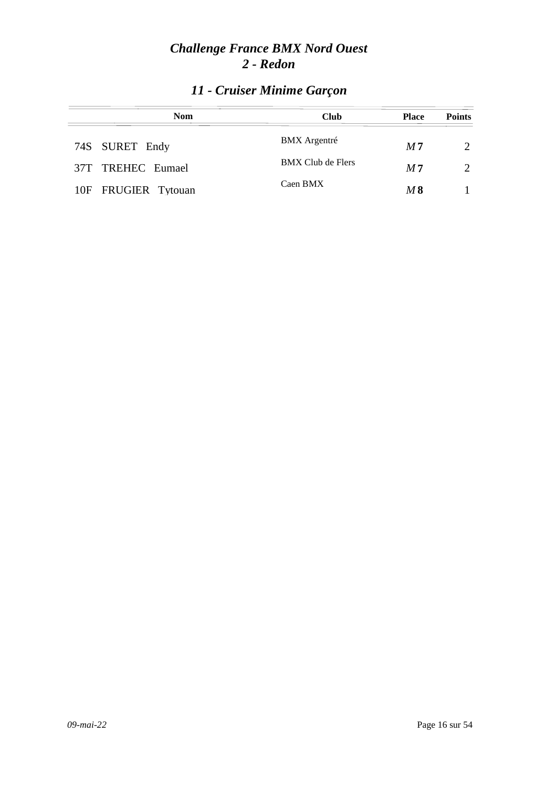| <b>Nom</b>          | <b>Club</b>         | <b>Place</b>   | <b>Points</b>               |
|---------------------|---------------------|----------------|-----------------------------|
| 74S SURET Endy      | <b>BMX</b> Argentré | M <sub>7</sub> | $\mathcal{D}_{\mathcal{L}}$ |
| 37T TREHEC Eumael   | BMX Club de Flers   | M <sub>7</sub> | $\mathcal{D}_{\mathcal{L}}$ |
| 10F FRUGIER Tytouan | Caen BMX            | M 8            |                             |

## *11 - Cruiser Minime Garçon*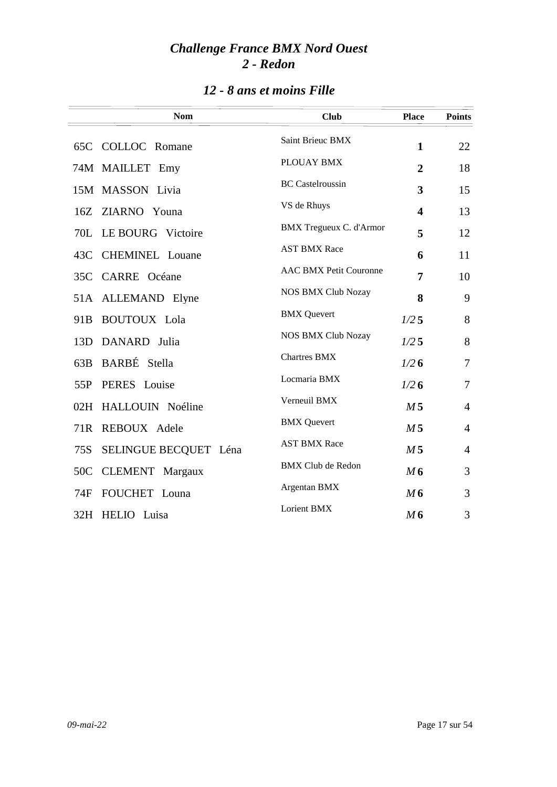| 12 - 8 ans et moins Fille |  |  |
|---------------------------|--|--|
|---------------------------|--|--|

|                 | <b>Nom</b>             | <b>Club</b>                    | <b>Place</b>   | <b>Points</b>  |
|-----------------|------------------------|--------------------------------|----------------|----------------|
|                 | 65C COLLOC Romane      | Saint Brieuc BMX               | $\mathbf{1}$   | 22             |
|                 | 74M MAILLET Emy        | PLOUAY BMX                     | $\overline{2}$ | 18             |
|                 | 15M MASSON Livia       | <b>BC</b> Castelroussin        | 3              | 15             |
| 16Z             | ZIARNO Youna           | VS de Rhuys                    | 4              | 13             |
| 70L             | LE BOURG Victoire      | <b>BMX</b> Tregueux C. d'Armor | 5              | 12             |
| 43C             | <b>CHEMINEL</b> Louane | <b>AST BMX Race</b>            | 6              | 11             |
| 35C             | <b>CARRE</b> Océane    | <b>AAC BMX Petit Couronne</b>  | 7              | 10             |
| 51A             | ALLEMAND Elyne         | <b>NOS BMX Club Nozay</b>      | 8              | 9              |
| 91 <sub>B</sub> | <b>BOUTOUX</b> Lola    | <b>BMX</b> Quevert             | 1/25           | 8              |
| 13D             | DANARD Julia           | <b>NOS BMX Club Nozay</b>      | 1/25           | 8              |
| 63B             | BARBÉ Stella           | <b>Chartres BMX</b>            | 1/26           | 7              |
| 55P             | PERES Louise           | Locmaria BMX                   | 1/26           | $\overline{7}$ |
| 02H             | HALLOUIN Noéline       | Verneuil BMX                   | M <sub>5</sub> | $\overline{4}$ |
| 71R             | REBOUX Adele           | <b>BMX</b> Quevert             | M <sub>5</sub> | $\overline{4}$ |
| 75S             | SELINGUE BECQUET Léna  | <b>AST BMX Race</b>            | M <sub>5</sub> | $\overline{4}$ |
| 50C             | <b>CLEMENT</b> Margaux | <b>BMX Club de Redon</b>       | M6             | 3              |
| 74F             | FOUCHET Louna          | Argentan BMX                   | M6             | 3              |
|                 | 32H HELIO Luisa        | Lorient BMX                    | M <sub>6</sub> | 3              |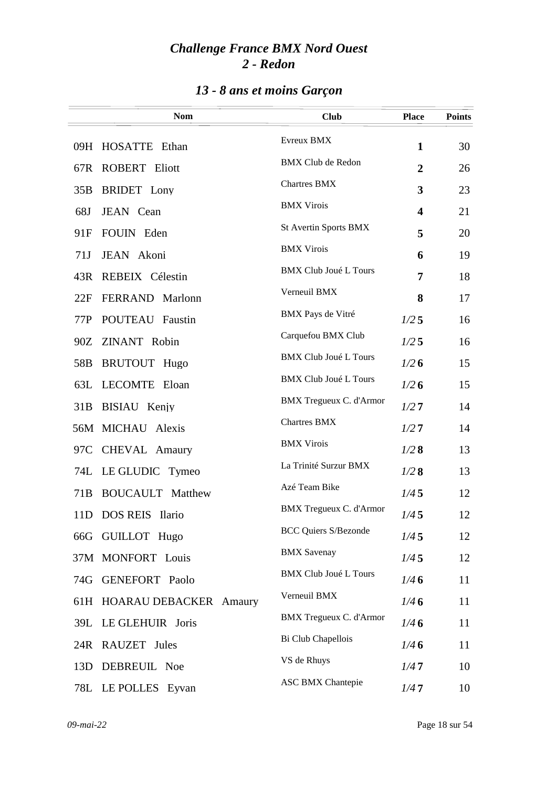# *13 - 8 ans et moins Garçon*

|                 | <b>Nom</b>                    | <b>Club</b>                    | <b>Place</b>            | <b>Points</b> |
|-----------------|-------------------------------|--------------------------------|-------------------------|---------------|
|                 | 09H HOSATTE Ethan             | Evreux BMX                     | $\mathbf{1}$            | 30            |
|                 | 67R ROBERT Eliott             | <b>BMX Club de Redon</b>       | $\overline{2}$          | 26            |
|                 | 35B BRIDET Lony               | <b>Chartres BMX</b>            | 3                       | 23            |
| 68J             | JEAN Cean                     | <b>BMX Virois</b>              | $\overline{\mathbf{4}}$ | 21            |
| 91F             | FOUIN Eden                    | <b>St Avertin Sports BMX</b>   | 5                       | 20            |
| 71J             | JEAN Akoni                    | <b>BMX Virois</b>              | 6                       | 19            |
| 43R             | REBEIX Célestin               | <b>BMX Club Joué L Tours</b>   | 7                       | 18            |
| 22F             | FERRAND Marlonn               | Verneuil BMX                   | 8                       | 17            |
| 77P             | POUTEAU Faustin               | BMX Pays de Vitré              | 1/25                    | 16            |
|                 | 90Z ZINANT Robin              | Carquefou BMX Club             | 1/25                    | 16            |
| 58B             | <b>BRUTOUT Hugo</b>           | <b>BMX Club Joué L Tours</b>   | 1/26                    | 15            |
|                 | 63L LECOMTE Eloan             | <b>BMX Club Joué L Tours</b>   | 1/26                    | 15            |
| 31B             | BISIAU Kenjy                  | BMX Tregueux C. d'Armor        | 1/27                    | 14            |
|                 | 56M MICHAU Alexis             | <b>Chartres BMX</b>            | 1/27                    | 14            |
| 97C             | CHEVAL Amaury                 | <b>BMX Virois</b>              | 1/28                    | 13            |
|                 | 74L LE GLUDIC Tymeo           | La Trinité Surzur BMX          | 1/28                    | 13            |
| 71 <sub>B</sub> | <b>BOUCAULT</b> Matthew       | Azé Team Bike                  | 1/45                    | 12            |
|                 | 11D DOS REIS Ilario           | <b>BMX Tregueux C. d'Armor</b> | 1/45                    | 12            |
|                 | 66G GUILLOT Hugo              | <b>BCC Quiers S/Bezonde</b>    | 1/45                    | 12            |
|                 | 37M MONFORT Louis             | <b>BMX</b> Savenay             | 1/45                    | 12            |
| 74G             | <b>GENEFORT</b> Paolo         | <b>BMX Club Joué L Tours</b>   | 1/46                    | 11            |
| 61H             | <b>HOARAU DEBACKER Amaury</b> | Verneuil BMX                   | 1/46                    | 11            |
|                 | 39L LE GLEHUIR Joris          | <b>BMX</b> Tregueux C. d'Armor | 1/46                    | 11            |
|                 | 24R RAUZET Jules              | Bi Club Chapellois             | 1/46                    | 11            |
| 13D             | DEBREUIL Noe                  | VS de Rhuys                    | 1/47                    | 10            |
|                 | 78L LE POLLES Eyvan           | <b>ASC BMX Chantepie</b>       | 1/47                    | 10            |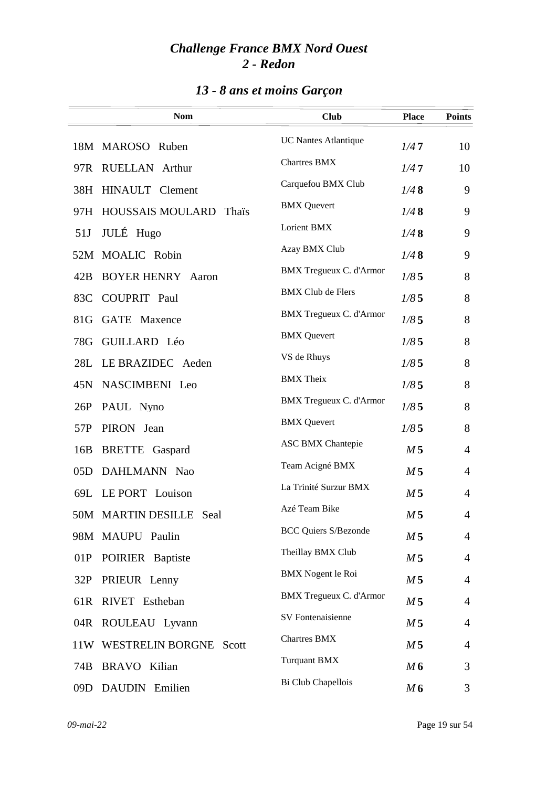# *13 - 8 ans et moins Garçon*

|     | <b>Nom</b>                              | <b>Club</b>                    | <b>Place</b>   | <b>Points</b>  |
|-----|-----------------------------------------|--------------------------------|----------------|----------------|
|     | 18M MAROSO Ruben                        | <b>UC Nantes Atlantique</b>    | 1/47           | 10             |
|     | 97R RUELLAN Arthur                      | <b>Chartres BMX</b>            | 1/47           | 10             |
|     | 38H HINAULT Clement                     | Carquefou BMX Club             | 1/48           | 9              |
| 97H | <b>HOUSSAIS MOULARD</b><br><b>Thais</b> | <b>BMX</b> Quevert             | 1/48           | 9              |
| 51J | JULÉ Hugo                               | Lorient BMX                    | 1/48           | 9              |
|     | 52M MOALIC Robin                        | Azay BMX Club                  | 1/48           | 9              |
| 42B | <b>BOYER HENRY Aaron</b>                | <b>BMX Tregueux C. d'Armor</b> | 1/85           | 8              |
| 83C | <b>COUPRIT</b> Paul                     | <b>BMX Club de Flers</b>       | 1/85           | 8              |
| 81G | <b>GATE</b> Maxence                     | <b>BMX Tregueux C. d'Armor</b> | 1/85           | 8              |
| 78G | GUILLARD Léo                            | <b>BMX</b> Quevert             | 1/85           | 8              |
| 28L | LE BRAZIDEC Aeden                       | VS de Rhuys                    | 1/85           | 8              |
| 45N | NASCIMBENI Leo                          | <b>BMX</b> Theix               | 1/85           | 8              |
| 26P | PAUL Nyno                               | BMX Tregueux C. d'Armor        | 1/85           | 8              |
| 57P | PIRON Jean                              | <b>BMX</b> Quevert             | 1/85           | 8              |
| 16B | <b>BRETTE</b> Gaspard                   | <b>ASC BMX Chantepie</b>       | M <sub>5</sub> | $\overline{4}$ |
| 05D | DAHLMANN Nao                            | Team Acigné BMX                | M <sub>5</sub> | 4              |
|     | 69L LE PORT Louison                     | La Trinité Surzur BMX          | M <sub>5</sub> | 4              |
|     | 50M MARTIN DESILLE Seal                 | Azé Team Bike                  | M <sub>5</sub> | 4              |
|     | 98M MAUPU Paulin                        | <b>BCC Quiers S/Bezonde</b>    | M <sub>5</sub> | $\overline{4}$ |
| 01P | POIRIER Baptiste                        | Theillay BMX Club              | M <sub>5</sub> | $\overline{4}$ |
| 32P | PRIEUR Lenny                            | <b>BMX</b> Nogent le Roi       | M <sub>5</sub> | $\overline{4}$ |
| 61R | RIVET Estheban                          | <b>BMX Tregueux C. d'Armor</b> | M <sub>5</sub> | $\overline{4}$ |
| 04R | ROULEAU Lyvann                          | SV Fontenaisienne              | M <sub>5</sub> | $\overline{4}$ |
| 11W | <b>WESTRELIN BORGNE Scott</b>           | <b>Chartres BMX</b>            | M <sub>5</sub> | $\overline{4}$ |
| 74B | <b>BRAVO</b> Kilian                     | <b>Turquant BMX</b>            | M6             | 3              |
| 09D | DAUDIN Emilien                          | Bi Club Chapellois             | M6             | 3              |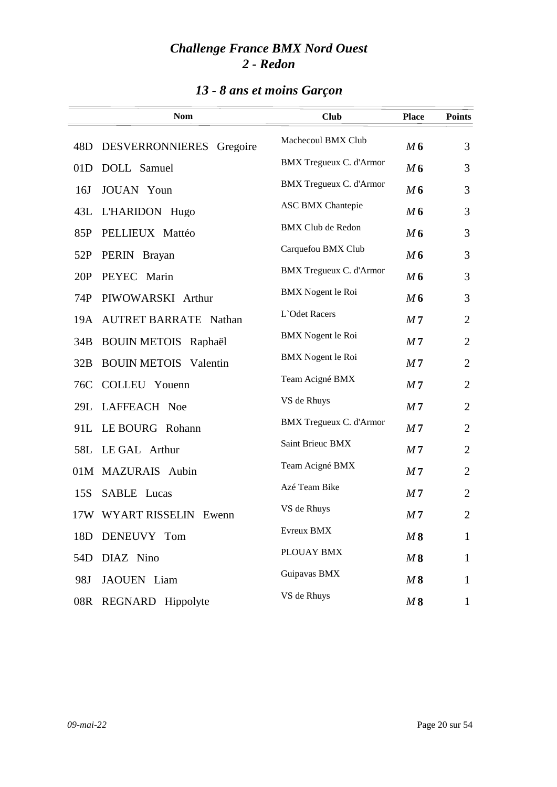# *13 - 8 ans et moins Garçon*

|     | <b>Nom</b>                   | <b>Club</b>                    | <b>Place</b>   | <b>Points</b>  |
|-----|------------------------------|--------------------------------|----------------|----------------|
| 48D | DESVERRONNIERES<br>Gregoire  | Machecoul BMX Club             | M6             | 3              |
| 01D | DOLL Samuel                  | BMX Tregueux C. d'Armor        | M6             | 3              |
| 16J | <b>JOUAN</b> Youn            | BMX Tregueux C. d'Armor        | M6             | 3              |
| 43L | L'HARIDON Hugo               | <b>ASC BMX Chantepie</b>       | M6             | 3              |
| 85P | PELLIEUX Mattéo              | <b>BMX Club de Redon</b>       | M6             | 3              |
| 52P | PERIN Brayan                 | Carquefou BMX Club             | M6             | 3              |
| 20P | PEYEC Marin                  | BMX Tregueux C. d'Armor        | M6             | 3              |
| 74P | PIWOWARSKI Arthur            | <b>BMX</b> Nogent le Roi       | M6             | 3              |
|     | 19A AUTRET BARRATE Nathan    | L'Odet Racers                  | M <sub>7</sub> | $\overline{2}$ |
| 34B | <b>BOUIN METOIS Raphaël</b>  | <b>BMX</b> Nogent le Roi       | M <sub>7</sub> | $\overline{2}$ |
| 32B | <b>BOUIN METOIS</b> Valentin | <b>BMX</b> Nogent le Roi       | M <sub>7</sub> | $\overline{2}$ |
| 76C | COLLEU Youenn                | Team Acigné BMX                | M <sub>7</sub> | $\overline{2}$ |
| 29L | LAFFEACH Noe                 | VS de Rhuys                    | M <sub>7</sub> | $\overline{2}$ |
| 91L | LE BOURG Rohann              | <b>BMX Tregueux C. d'Armor</b> | M <sub>7</sub> | $\overline{2}$ |
|     | 58L LE GAL Arthur            | Saint Brieuc BMX               | M <sub>7</sub> | $\overline{2}$ |
|     | 01M MAZURAIS Aubin           | Team Acigné BMX                | M <sub>7</sub> | $\overline{2}$ |
| 15S | <b>SABLE</b> Lucas           | Azé Team Bike                  | M <sub>7</sub> | $\overline{2}$ |
|     | 17W WYART RISSELIN Ewenn     | VS de Rhuys                    | M <sub>7</sub> | $\mathfrak{2}$ |
| 18D | DENEUVY Tom                  | Evreux BMX                     | M8             | $\mathbf{1}$   |
| 54D | DIAZ Nino                    | PLOUAY BMX                     | M8             | $\mathbf{1}$   |
| 98J | JAOUEN Liam                  | Guipavas BMX                   | M8             | $\mathbf{1}$   |
| 08R | REGNARD Hippolyte            | VS de Rhuys                    | M8             | $\mathbf{1}$   |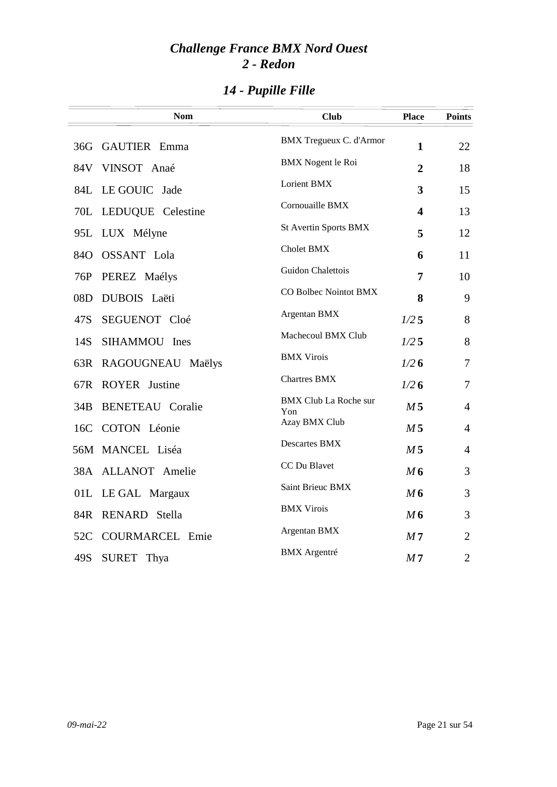# *14 - Pupille Fille*

|     | <b>Nom</b>              | <b>Club</b>                         | <b>Place</b>            | <b>Points</b>  |
|-----|-------------------------|-------------------------------------|-------------------------|----------------|
| 36G | <b>GAUTIER</b> Emma     | <b>BMX</b> Tregueux C. d'Armor      | $\mathbf{1}$            | 22             |
| 84V | VINSOT Anaé             | <b>BMX</b> Nogent le Roi            | $\overline{2}$          | 18             |
| 84L | LE GOUIC Jade           | Lorient BMX                         | 3                       | 15             |
| 70L | LEDUQUE Celestine       | Cornouaille BMX                     | $\overline{\mathbf{4}}$ | 13             |
| 95L | LUX Mélyne              | <b>St Avertin Sports BMX</b>        | 5                       | 12             |
| 84O | <b>OSSANT</b> Lola      | Cholet BMX                          | 6                       | 11             |
| 76P | PEREZ Maélys            | Guidon Chalettois                   | 7                       | 10             |
| 08D | DUBOIS Laëti            | CO Bolbec Nointot BMX               | 8                       | 9              |
| 47S | SEGUENOT Cloé           | Argentan BMX                        | $1/2$ 5                 | 8              |
| 14S | SIHAMMOU Ines           | Machecoul BMX Club                  | $1/2$ 5                 | 8              |
| 63R | RAGOUGNEAU Maëlys       | <b>BMX Virois</b>                   | 1/26                    | 7              |
| 67R | <b>ROYER</b> Justine    | <b>Chartres BMX</b>                 | 1/26                    | $\overline{7}$ |
| 34B | <b>BENETEAU Coralie</b> | <b>BMX Club La Roche sur</b><br>Yon | M <sub>5</sub>          | $\overline{4}$ |
| 16C | COTON Léonie            | Azay BMX Club                       | M <sub>5</sub>          | $\overline{4}$ |
|     | 56M MANCEL Liséa        | <b>Descartes BMX</b>                | M <sub>5</sub>          | $\overline{4}$ |
|     | 38A ALLANOT Amelie      | CC Du Blavet                        | M6                      | 3              |
|     | 01L LE GAL Margaux      | Saint Brieuc BMX                    | M6                      | 3              |
| 84R | RENARD Stella           | <b>BMX Virois</b>                   | M6                      | 3              |
| 52C | <b>COURMARCEL Emie</b>  | Argentan BMX                        | M <sub>7</sub>          | $\overline{2}$ |
| 49S | SURET Thya              | <b>BMX</b> Argentré                 | M <sub>7</sub>          | $\overline{2}$ |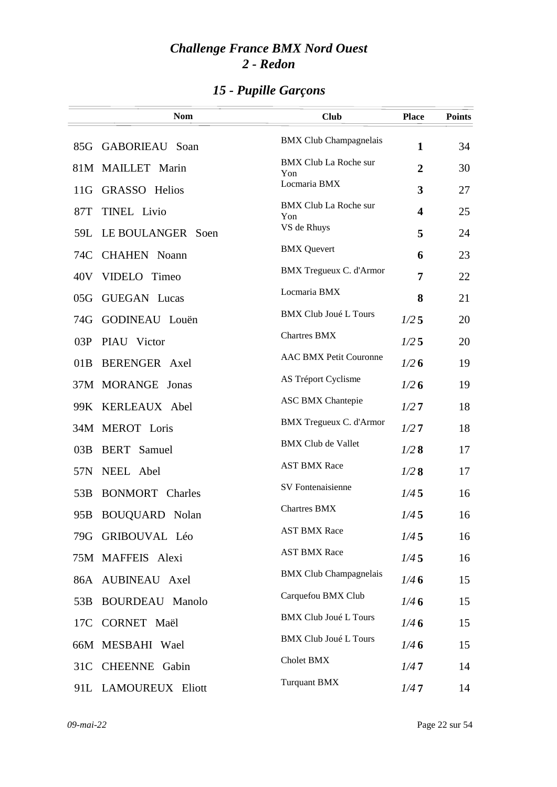|     | <b>Nom</b>             | <b>Club</b>                         | <b>Place</b>            | <b>Points</b> |
|-----|------------------------|-------------------------------------|-------------------------|---------------|
|     | 85G GABORIEAU Soan     | <b>BMX Club Champagnelais</b>       | $\mathbf{1}$            | 34            |
|     | 81M MAILLET Marin      | <b>BMX Club La Roche sur</b><br>Yon | $\boldsymbol{2}$        | 30            |
| 11G | <b>GRASSO</b> Helios   | Locmaria BMX                        | 3                       | 27            |
| 87T | <b>TINEL Livio</b>     | <b>BMX Club La Roche sur</b><br>Yon | $\overline{\mathbf{4}}$ | 25            |
| 59L | LE BOULANGER Soen      | VS de Rhuys                         | 5                       | 24            |
| 74C | <b>CHAHEN Noann</b>    | <b>BMX</b> Quevert                  | 6                       | 23            |
| 40V | VIDELO Timeo           | BMX Tregueux C. d'Armor             | 7                       | 22            |
| 05G | <b>GUEGAN</b> Lucas    | Locmaria BMX                        | 8                       | 21            |
| 74G | GODINEAU Louën         | <b>BMX Club Joué L Tours</b>        | 1/25                    | 20            |
| 03P | PIAU Victor            | <b>Chartres BMX</b>                 | $1/2$ 5                 | 20            |
| 01B | BERENGER Axel          | <b>AAC BMX Petit Couronne</b>       | 1/26                    | 19            |
|     | 37M MORANGE Jonas      | AS Tréport Cyclisme                 | 1/26                    | 19            |
|     | 99K KERLEAUX Abel      | <b>ASC BMX Chantepie</b>            | 1/27                    | 18            |
|     | 34M MEROT Loris        | BMX Tregueux C. d'Armor             | 1/27                    | 18            |
| 03B | <b>BERT</b> Samuel     | <b>BMX Club de Vallet</b>           | 1/28                    | 17            |
| 57N | NEEL Abel              | <b>AST BMX Race</b>                 | 1/28                    | 17            |
| 53B | <b>BONMORT</b> Charles | <b>SV</b> Fontenaisienne            | 1/45                    | 16            |
| 95B | <b>BOUQUARD</b> Nolan  | <b>Chartres BMX</b>                 | 1/45                    | 16            |
|     | 79G GRIBOUVAL Léo      | <b>AST BMX Race</b>                 | 1/45                    | 16            |
|     | 75M MAFFEIS Alexi      | <b>AST BMX Race</b>                 | 1/45                    | 16            |
|     | 86A AUBINEAU Axel      | <b>BMX Club Champagnelais</b>       | 1/46                    | 15            |
| 53B | <b>BOURDEAU Manolo</b> | Carquefou BMX Club                  | 1/46                    | 15            |
| 17C | CORNET Maël            | <b>BMX Club Joué L Tours</b>        | 1/46                    | 15            |
|     | 66M MESBAHI Wael       | <b>BMX Club Joué L Tours</b>        | 1/46                    | 15            |
| 31C | <b>CHEENNE</b> Gabin   | Cholet BMX                          | 1/47                    | 14            |
|     | 91L LAMOUREUX Eliott   | <b>Turquant BMX</b>                 | 1/47                    | 14            |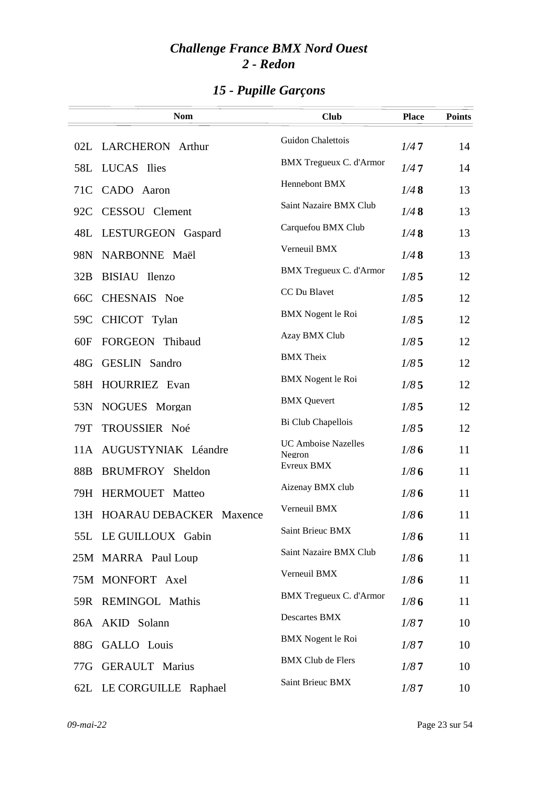|     | <b>Nom</b>                  | <b>Club</b>                          | <b>Place</b> | <b>Points</b> |
|-----|-----------------------------|--------------------------------------|--------------|---------------|
|     | 02L LARCHERON Arthur        | Guidon Chalettois                    | 1/47         | 14            |
| 58L | LUCAS Ilies                 | <b>BMX Tregueux C. d'Armor</b>       | 1/47         | 14            |
| 71C | CADO Aaron                  | Hennebont BMX                        | 1/48         | 13            |
| 92C | CESSOU Clement              | Saint Nazaire BMX Club               | 1/48         | 13            |
| 48L | LESTURGEON Gaspard          | Carquefou BMX Club                   | 1/48         | 13            |
| 98N | NARBONNE Maël               | Verneuil BMX                         | 1/48         | 13            |
| 32B | BISIAU Ilenzo               | <b>BMX</b> Tregueux C. d'Armor       | 1/85         | 12            |
| 66C | CHESNAIS Noe                | CC Du Blavet                         | 1/85         | 12            |
| 59C | CHICOT Tylan                | <b>BMX</b> Nogent le Roi             | 1/85         | 12            |
| 60F | FORGEON Thibaud             | Azay BMX Club                        | 1/85         | 12            |
| 48G | <b>GESLIN</b> Sandro        | <b>BMX</b> Theix                     | 1/85         | 12            |
| 58H | HOURRIEZ Evan               | <b>BMX</b> Nogent le Roi             | 1/85         | 12            |
| 53N | NOGUES Morgan               | <b>BMX</b> Quevert                   | 1/85         | 12            |
| 79T | TROUSSIER Noé               | Bi Club Chapellois                   | 1/85         | 12            |
|     | 11A AUGUSTYNIAK Léandre     | <b>UC Amboise Nazelles</b><br>Negron | 1/86         | 11            |
| 88B | BRUMFROY Sheldon            | Evreux BMX                           | 1/86         | 11            |
| 79H | <b>HERMOUET</b> Matteo      | Aizenay BMX club                     | 1/86         | 11            |
|     | 13H HOARAU DEBACKER Maxence | Verneuil BMX                         | 1/86         | 11            |
|     | 55L LE GUILLOUX Gabin       | Saint Brieuc BMX                     | 1/86         | 11            |
|     | 25M MARRA Paul Loup         | Saint Nazaire BMX Club               | 1/86         | 11            |
|     | 75M MONFORT Axel            | Verneuil BMX                         | 1/86         | 11            |
|     | 59R REMINGOL Mathis         | <b>BMX</b> Tregueux C. d'Armor       | 1/86         | 11            |
|     | 86A AKID Solann             | <b>Descartes BMX</b>                 | 1/87         | 10            |
|     | 88G GALLO Louis             | <b>BMX</b> Nogent le Roi             | 1/87         | 10            |
| 77G | <b>GERAULT</b> Marius       | <b>BMX Club de Flers</b>             | 1/87         | 10            |
|     | 62L LE CORGUILLE Raphael    | Saint Brieuc BMX                     | 1/87         | 10            |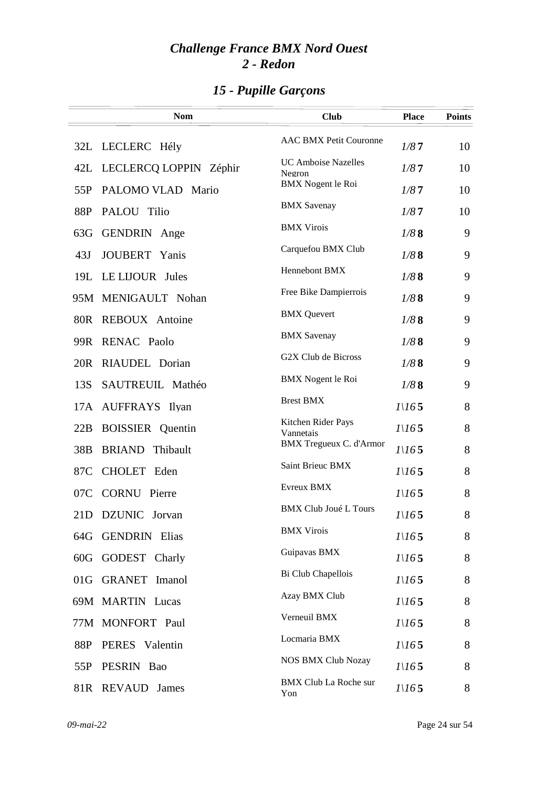|                 | <b>Nom</b>              | <b>Club</b>                          | <b>Place</b>      | <b>Points</b> |
|-----------------|-------------------------|--------------------------------------|-------------------|---------------|
| 32L             | LECLERC Hély            | <b>AAC BMX Petit Couronne</b>        | 1/87              | 10            |
| 42L             | LECLERCQ LOPPIN Zéphir  | <b>UC Amboise Nazelles</b><br>Negron | 1/87              | 10            |
| 55P             | PALOMO VLAD Mario       | <b>BMX</b> Nogent le Roi             | 1/87              | 10            |
| 88P             | PALOU Tilio             | <b>BMX</b> Savenay                   | 1/87              | 10            |
| 63G             | <b>GENDRIN</b> Ange     | <b>BMX Virois</b>                    | 1/88              | 9             |
| 43J             | <b>JOUBERT</b> Yanis    | Carquefou BMX Club                   | 1/88              | 9             |
| 19L             | LE LIJOUR Jules         | Hennebont BMX                        | 1/88              | 9             |
|                 | 95M MENIGAULT Nohan     | Free Bike Dampierrois                | 1/88              | 9             |
| 80 <sub>R</sub> | <b>REBOUX</b> Antoine   | <b>BMX</b> Quevert                   | 1/88              | 9             |
| 99R             | <b>RENAC Paolo</b>      | <b>BMX</b> Savenay                   | 1/88              | 9             |
| 20R             | RIAUDEL Dorian          | G2X Club de Bicross                  | 1/88              | 9             |
| 13S             | SAUTREUIL Mathéo        | <b>BMX</b> Nogent le Roi             | 1/88              | 9             |
| 17A             | AUFFRAYS Ilyan          | <b>Brest BMX</b>                     | 1/165             | 8             |
| 22B             | <b>BOISSIER</b> Quentin | Kitchen Rider Pays<br>Vannetais      | $I\backslash I65$ | 8             |
| 38 <sub>B</sub> | <b>BRIAND</b> Thibault  | <b>BMX</b> Tregueux C. d'Armor       | 1/165             | 8             |
| 87C             | CHOLET Eden             | Saint Brieuc BMX                     | 1/165             | 8             |
| 07C             | <b>CORNU</b> Pierre     | Evreux BMX                           | 1/165             | 8             |
| 21D             | DZUNIC Jorvan           | <b>BMX Club Joué L Tours</b>         | 1/165             | 8             |
|                 | 64G GENDRIN Elias       | <b>BMX Virois</b>                    | $I\backslash I65$ | 8             |
| 60G             | GODEST Charly           | Guipavas BMX                         | 1/165             | 8             |
| 01G             | <b>GRANET</b> Imanol    | Bi Club Chapellois                   | 1/165             | 8             |
|                 | 69M MARTIN Lucas        | Azay BMX Club                        | 1/165             | 8             |
|                 | 77M MONFORT Paul        | Verneuil BMX                         | 1/165             | 8             |
| 88P             | PERES Valentin          | Locmaria BMX                         | 1/165             | 8             |
| 55P             | PESRIN Bao              | <b>NOS BMX Club Nozay</b>            | 1/165             | 8             |
| 81R             | <b>REVAUD</b><br>James  | <b>BMX Club La Roche sur</b><br>Yon  | $I\backslash I65$ | 8             |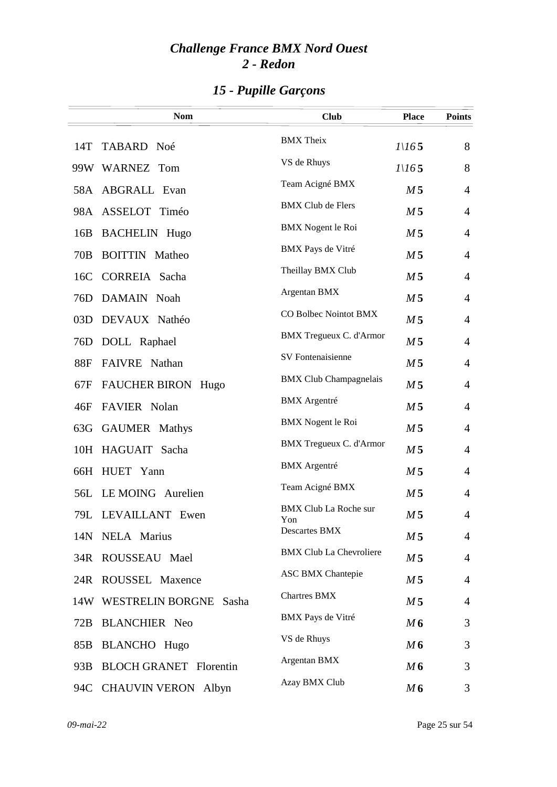|                 | <b>Nom</b>                    | <b>Club</b>                         | <b>Place</b>   | <b>Points</b>  |
|-----------------|-------------------------------|-------------------------------------|----------------|----------------|
| 14T             | TABARD Noé                    | <b>BMX</b> Theix                    | 1/165          | 8              |
|                 | 99W WARNEZ Tom                | VS de Rhuys                         | 1/165          | 8              |
|                 | 58A ABGRALL Evan              | Team Acigné BMX                     | M <sub>5</sub> | $\overline{4}$ |
|                 | 98A ASSELOT Timéo             | <b>BMX Club de Flers</b>            | M <sub>5</sub> | $\overline{4}$ |
| 16B             | <b>BACHELIN</b> Hugo          | <b>BMX</b> Nogent le Roi            | M <sub>5</sub> | $\overline{4}$ |
| 70B             | <b>BOITTIN</b> Matheo         | <b>BMX</b> Pays de Vitré            | M <sub>5</sub> | $\overline{4}$ |
| 16C             | CORREIA Sacha                 | Theillay BMX Club                   | M <sub>5</sub> | $\overline{4}$ |
| 76D             | DAMAIN Noah                   | Argentan BMX                        | M <sub>5</sub> | $\overline{4}$ |
| 03D             | DEVAUX Nathéo                 | CO Bolbec Nointot BMX               | M <sub>5</sub> | $\overline{4}$ |
| 76 <sub>D</sub> | DOLL Raphael                  | <b>BMX</b> Tregueux C. d'Armor      | M <sub>5</sub> | $\overline{4}$ |
| 88F             | FAIVRE Nathan                 | SV Fontenaisienne                   | M <sub>5</sub> | $\overline{4}$ |
| 67F             | FAUCHER BIRON Hugo            | <b>BMX Club Champagnelais</b>       | M <sub>5</sub> | $\overline{4}$ |
| 46F             | FAVIER Nolan                  | <b>BMX</b> Argentré                 | M <sub>5</sub> | $\overline{4}$ |
| 63G             | GAUMER Mathys                 | <b>BMX</b> Nogent le Roi            | M <sub>5</sub> | $\overline{4}$ |
|                 | 10H HAGUAIT Sacha             | <b>BMX Tregueux C. d'Armor</b>      | M <sub>5</sub> | $\overline{4}$ |
| 66H             | HUET Yann                     | <b>BMX</b> Argentré                 | M <sub>5</sub> | $\overline{4}$ |
| 56L             | LE MOING Aurelien             | Team Acigné BMX                     | M <sub>5</sub> | $\overline{4}$ |
| 79L             | LEVAILLANT Ewen               | <b>BMX Club La Roche sur</b><br>Yon | M <sub>5</sub> | $\overline{4}$ |
|                 | 14N NELA Marius               | Descartes BMX                       | M 5            | $\overline{4}$ |
| 34R             | ROUSSEAU Mael                 | <b>BMX Club La Chevroliere</b>      | M <sub>5</sub> | $\overline{4}$ |
|                 | 24R ROUSSEL Maxence           | <b>ASC BMX Chantepie</b>            | M <sub>5</sub> | $\overline{4}$ |
|                 | 14W WESTRELIN BORGNE Sasha    | <b>Chartres BMX</b>                 | M <sub>5</sub> | $\overline{4}$ |
| 72B             | <b>BLANCHIER Neo</b>          | BMX Pays de Vitré                   | M6             | 3              |
| 85B             | <b>BLANCHO</b> Hugo           | VS de Rhuys                         | M6             | 3              |
| 93B             | <b>BLOCH GRANET Florentin</b> | Argentan BMX                        | M6             | 3              |
| 94C             | <b>CHAUVIN VERON</b> Albyn    | Azay BMX Club                       | M6             | 3              |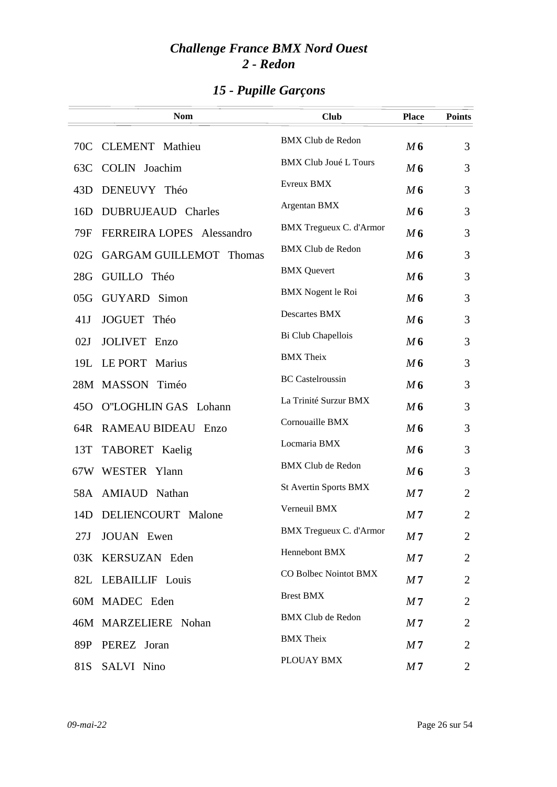|                 | <b>Nom</b>                     | <b>Club</b>                    | <b>Place</b>   | <b>Points</b>  |
|-----------------|--------------------------------|--------------------------------|----------------|----------------|
| 70C             | <b>CLEMENT</b> Mathieu         | <b>BMX Club de Redon</b>       | M6             | 3              |
| 63C             | COLIN Joachim                  | <b>BMX Club Joué L Tours</b>   | M6             | 3              |
| 43D             | DENEUVY Théo                   | Evreux BMX                     | M6             | 3              |
| 16D             | DUBRUJEAUD Charles             | Argentan BMX                   | M6             | 3              |
| 79F             | FERREIRA LOPES Alessandro      | <b>BMX</b> Tregueux C. d'Armor | M6             | 3              |
| 02G             | <b>GARGAM GUILLEMOT Thomas</b> | <b>BMX Club de Redon</b>       | M6             | 3              |
| 28G             | GUILLO Théo                    | <b>BMX</b> Quevert             | M6             | 3              |
| 05G             | <b>GUYARD</b> Simon            | <b>BMX</b> Nogent le Roi       | M6             | 3              |
| 41J             | <b>JOGUET</b><br>Théo          | Descartes BMX                  | M6             | 3              |
| 02J             | <b>JOLIVET</b> Enzo            | Bi Club Chapellois             | M6             | 3              |
|                 | 19L LE PORT Marius             | <b>BMX</b> Theix               | M6             | 3              |
|                 | 28M MASSON Timéo               | <b>BC</b> Castelroussin        | M <sub>6</sub> | 3              |
| 45 <sub>O</sub> | O"LOGHLIN GAS Lohann           | La Trinité Surzur BMX          | M6             | 3              |
| 64R             | RAMEAU BIDEAU Enzo             | Cornouaille BMX                | M6             | 3              |
| 13T             | TABORET Kaelig                 | Locmaria BMX                   | M6             | 3              |
|                 | 67W WESTER Ylann               | <b>BMX Club de Redon</b>       | M6             | 3              |
|                 | 58A AMIAUD Nathan              | St Avertin Sports BMX          | M <sub>7</sub> | $\overline{2}$ |
| 14D             | DELIENCOURT Malone             | Verneuil BMX                   | M <sub>7</sub> | $\overline{2}$ |
| 27J             | <b>JOUAN</b> Ewen              | <b>BMX Tregueux C. d'Armor</b> | M <sub>7</sub> | $\overline{2}$ |
| 03K             | KERSUZAN Eden                  | Hennebont BMX                  | M <sub>7</sub> | $\overline{2}$ |
|                 | 82L LEBAILLIF Louis            | CO Bolbec Nointot BMX          | M <sub>7</sub> | $\overline{2}$ |
|                 | 60M MADEC Eden                 | <b>Brest BMX</b>               | M <sub>7</sub> | 2              |
|                 | 46M MARZELIERE Nohan           | <b>BMX Club de Redon</b>       | M <sub>7</sub> | $\overline{2}$ |
| 89P             | PEREZ Joran                    | <b>BMX</b> Theix               | M <sub>7</sub> | $\overline{2}$ |
| 81S             | SALVI Nino                     | PLOUAY BMX                     | M <sub>7</sub> | $\overline{2}$ |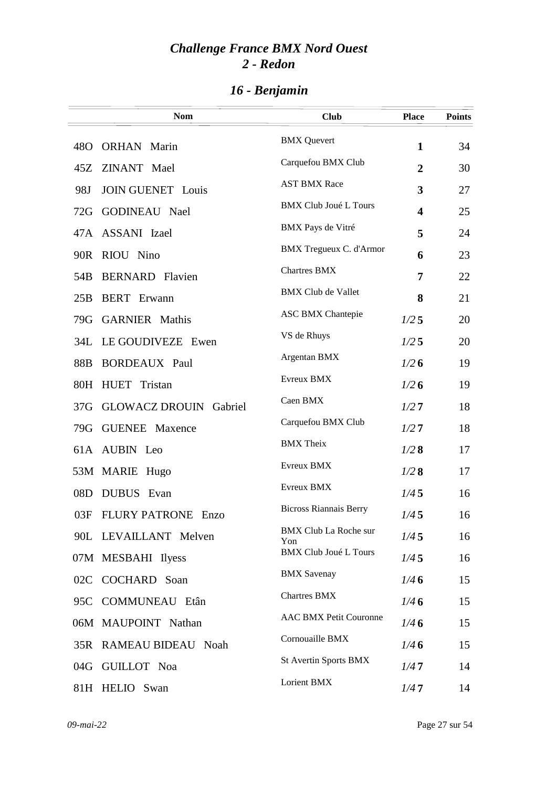|                 | <b>Nom</b>                    | <b>Club</b>                         | <b>Place</b>            | <b>Points</b> |
|-----------------|-------------------------------|-------------------------------------|-------------------------|---------------|
| 48 <sub>O</sub> | <b>ORHAN</b> Marin            | <b>BMX</b> Quevert                  | $\mathbf{1}$            | 34            |
| 45Z             | ZINANT Mael                   | Carquefou BMX Club                  | $\overline{2}$          | 30            |
| 98J             | <b>JOIN GUENET Louis</b>      | <b>AST BMX Race</b>                 | 3                       | 27            |
| 72G             | <b>GODINEAU</b> Nael          | <b>BMX Club Joué L Tours</b>        | $\overline{\mathbf{4}}$ | 25            |
|                 | 47A ASSANI Izael              | BMX Pays de Vitré                   | 5                       | 24            |
| 90R             | RIOU Nino                     | <b>BMX Tregueux C. d'Armor</b>      | 6                       | 23            |
| 54B             | <b>BERNARD</b> Flavien        | <b>Chartres BMX</b>                 | 7                       | 22            |
| 25B             | <b>BERT</b> Erwann            | <b>BMX Club de Vallet</b>           | 8                       | 21            |
| 79G             | <b>GARNIER</b> Mathis         | <b>ASC BMX Chantepie</b>            | $1/2$ 5                 | 20            |
| 34L             | LE GOUDIVEZE Ewen             | VS de Rhuys                         | 1/25                    | 20            |
| 88B             | <b>BORDEAUX Paul</b>          | Argentan BMX                        | 1/26                    | 19            |
|                 | 80H HUET Tristan              | Evreux BMX                          | 1/26                    | 19            |
| 37 <sub>G</sub> | <b>GLOWACZ DROUIN Gabriel</b> | Caen BMX                            | 1/27                    | 18            |
| 79G             | <b>GUENEE</b> Maxence         | Carquefou BMX Club                  | 1/27                    | 18            |
|                 | 61A AUBIN Leo                 | <b>BMX</b> Theix                    | 1/28                    | 17            |
|                 | 53M MARIE Hugo                | Evreux BMX                          | 1/28                    | 17            |
| 08D             | DUBUS Evan                    | Evreux BMX                          | 1/45                    | 16            |
| 03F             | <b>FLURY PATRONE Enzo</b>     | <b>Bicross Riannais Berry</b>       | 1/45                    | 16            |
|                 | 90L LEVAILLANT Melven         | <b>BMX Club La Roche sur</b><br>Yon | 1/45                    | 16            |
|                 | 07M MESBAHI Ilyess            | <b>BMX Club Joué L Tours</b>        | 1/45                    | 16            |
|                 | 02C COCHARD Soan              | <b>BMX</b> Savenay                  | 1/46                    | 15            |
|                 | 95C COMMUNEAU Etân            | <b>Chartres BMX</b>                 | 1/46                    | 15            |
|                 | 06M MAUPOINT Nathan           | <b>AAC BMX Petit Couronne</b>       | 1/46                    | 15            |
|                 | 35R RAMEAU BIDEAU Noah        | Cornouaille BMX                     | 1/46                    | 15            |
|                 | 04G GUILLOT Noa               | <b>St Avertin Sports BMX</b>        | 1/47                    | 14            |
|                 | 81H HELIO Swan                | Lorient BMX                         | 1/47                    | 14            |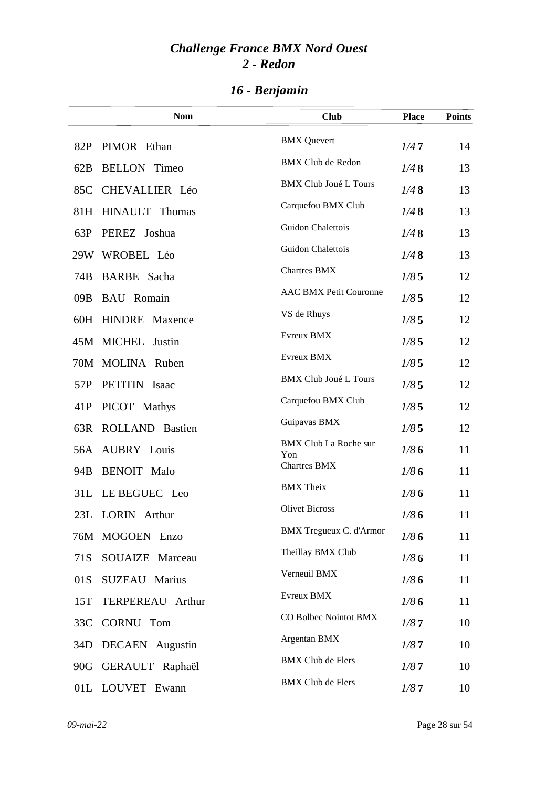|     | <b>Nom</b>             | <b>Club</b>                         | <b>Place</b> | <b>Points</b> |
|-----|------------------------|-------------------------------------|--------------|---------------|
| 82P | PIMOR Ethan            | <b>BMX</b> Quevert                  | 1/47         | 14            |
| 62B | <b>BELLON</b> Timeo    | <b>BMX Club de Redon</b>            | 1/48         | 13            |
| 85C | CHEVALLIER Léo         | <b>BMX Club Joué L Tours</b>        | 1/48         | 13            |
|     | 81H HINAULT Thomas     | Carquefou BMX Club                  | 1/48         | 13            |
| 63P | PEREZ Joshua           | Guidon Chalettois                   | 1/48         | 13            |
|     | 29W WROBEL Léo         | Guidon Chalettois                   | 1/48         | 13            |
| 74B | BARBE Sacha            | <b>Chartres BMX</b>                 | 1/85         | 12            |
| 09B | <b>BAU</b> Romain      | <b>AAC BMX Petit Couronne</b>       | 1/85         | 12            |
|     | 60H HINDRE Maxence     | VS de Rhuys                         | 1/85         | 12            |
|     | 45M MICHEL Justin      | Evreux BMX                          | 1/85         | 12            |
|     | 70M MOLINA Ruben       | Evreux BMX                          | 1/85         | 12            |
| 57P | PETITIN Isaac          | <b>BMX Club Joué L Tours</b>        | 1/85         | 12            |
| 41P | PICOT Mathys           | Carquefou BMX Club                  | 1/85         | 12            |
| 63R | <b>ROLLAND Bastien</b> | Guipavas BMX                        | 1/85         | 12            |
|     | 56A AUBRY Louis        | <b>BMX Club La Roche sur</b><br>Yon | 1/86         | 11            |
| 94B | <b>BENOIT</b> Malo     | <b>Chartres BMX</b>                 | 1/86         | 11            |
| 31L | LE BEGUEC Leo          | <b>BMX</b> Theix                    | 1/86         | 11            |
|     | 23L LORIN Arthur       | <b>Olivet Bicross</b>               | 1/86         | 11            |
|     | 76M MOGOEN Enzo        | <b>BMX Tregueux C. d'Armor</b>      | 1/86         | 11            |
| 71S | SOUAIZE Marceau        | Theillay BMX Club                   | 1/86         | 11            |
| 01S | <b>SUZEAU Marius</b>   | Verneuil BMX                        | 1/86         | 11            |
| 15T | TERPEREAU Arthur       | Evreux BMX                          | 1/86         | 11            |
| 33C | CORNU Tom              | CO Bolbec Nointot BMX               | 1/87         | 10            |
| 34D | <b>DECAEN</b> Augustin | Argentan BMX                        | 1/87         | 10            |
|     | 90G GERAULT Raphaël    | <b>BMX Club de Flers</b>            | 1/87         | 10            |
|     | 01L LOUVET Ewann       | <b>BMX Club de Flers</b>            | 1/87         | 10            |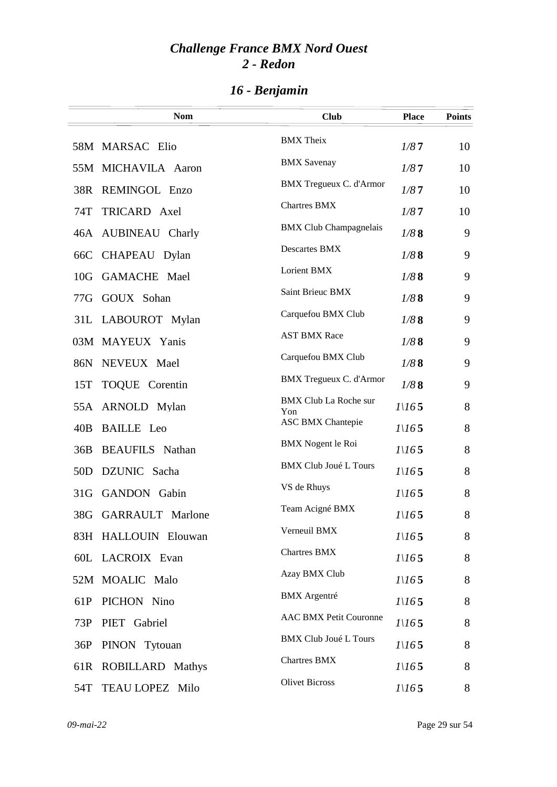|                 | <b>Nom</b>              | <b>Club</b>                         | <b>Place</b>      | <b>Points</b> |
|-----------------|-------------------------|-------------------------------------|-------------------|---------------|
|                 | 58M MARSAC Elio         | <b>BMX</b> Theix                    | 1/87              | 10            |
|                 | 55M MICHAVILA Aaron     | <b>BMX</b> Savenay                  | 1/87              | 10            |
|                 | 38R REMINGOL Enzo       | BMX Tregueux C. d'Armor             | 1/87              | 10            |
| 74T             | TRICARD Axel            | <b>Chartres BMX</b>                 | 1/87              | 10            |
|                 | 46A AUBINEAU Charly     | <b>BMX Club Champagnelais</b>       | 1/88              | 9             |
| 66C             | CHAPEAU Dylan           | Descartes BMX                       | 1/88              | 9             |
| 10 <sub>G</sub> | <b>GAMACHE</b> Mael     | Lorient BMX                         | 1/88              | 9             |
|                 | 77G GOUX Sohan          | Saint Brieuc BMX                    | 1/88              | 9             |
|                 | 31L LABOUROT Mylan      | Carquefou BMX Club                  | 1/88              | 9             |
|                 | 03M MAYEUX Yanis        | <b>AST BMX Race</b>                 | 1/88              | 9             |
|                 | 86N NEVEUX Mael         | Carquefou BMX Club                  | 1/88              | 9             |
| 15T             | TOQUE Corentin          | <b>BMX Tregueux C. d'Armor</b>      | 1/88              | 9             |
|                 | 55A ARNOLD Mylan        | <b>BMX Club La Roche sur</b><br>Yon | 1/165             | 8             |
| 40B             | <b>BAILLE</b> Leo       | <b>ASC BMX Chantepie</b>            | 1/165             | 8             |
|                 | 36B BEAUFILS Nathan     | <b>BMX</b> Nogent le Roi            | 1/165             | 8             |
| 50 <sub>D</sub> | DZUNIC Sacha            | <b>BMX Club Joué L Tours</b>        | 1/165             | 8             |
| 31 <sub>G</sub> | <b>GANDON</b> Gabin     | VS de Rhuys                         | 1/165             | 8             |
| 38G             | <b>GARRAULT</b> Marlone | Team Acigné BMX                     | 1/165             | 8             |
|                 | 83H HALLOUIN Elouwan    | Verneuil BMX                        | 1/165             | 8             |
|                 | 60L LACROIX Evan        | <b>Chartres BMX</b>                 | $I\backslash I65$ | 8             |
|                 | 52M MOALIC Malo         | Azay BMX Club                       | 1/165             | 8             |
| 61P             | PICHON Nino             | <b>BMX</b> Argentré                 | 1/165             | 8             |
| 73P             | PIET Gabriel            | <b>AAC BMX Petit Couronne</b>       | 1/165             | 8             |
| 36P             | PINON Tytouan           | <b>BMX Club Joué L Tours</b>        | 1/165             | 8             |
| 61R             | <b>ROBILLARD Mathys</b> | <b>Chartres BMX</b>                 | 1/165             | 8             |
| 54T             | TEAU LOPEZ Milo         | <b>Olivet Bicross</b>               | $I\backslash I65$ | 8             |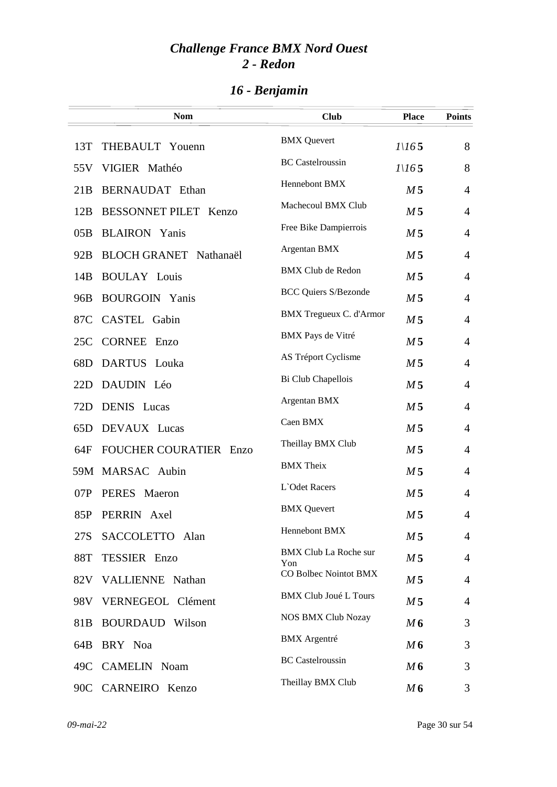|                 | <b>Nom</b>                    | <b>Club</b>                         | <b>Place</b>      | <b>Points</b>  |
|-----------------|-------------------------------|-------------------------------------|-------------------|----------------|
| 13T             | THEBAULT Youenn               | <b>BMX</b> Quevert                  | $I\backslash I65$ | 8              |
|                 | 55V VIGIER Mathéo             | <b>BC</b> Castelroussin             | 1/165             | 8              |
| 21B             | BERNAUDAT Ethan               | Hennebont BMX                       | M <sub>5</sub>    | $\overline{4}$ |
| 12B             | BESSONNET PILET Kenzo         | Machecoul BMX Club                  | M <sub>5</sub>    | $\overline{4}$ |
| 05B             | <b>BLAIRON</b> Yanis          | Free Bike Dampierrois               | M <sub>5</sub>    | $\overline{4}$ |
| 92B             | BLOCH GRANET Nathanaël        | Argentan BMX                        | M <sub>5</sub>    | $\overline{4}$ |
| 14B             | <b>BOULAY Louis</b>           | <b>BMX Club de Redon</b>            | M <sub>5</sub>    | $\overline{4}$ |
| 96B             | <b>BOURGOIN Yanis</b>         | <b>BCC Quiers S/Bezonde</b>         | M <sub>5</sub>    | $\overline{4}$ |
| 87C             | CASTEL Gabin                  | <b>BMX</b> Tregueux C. d'Armor      | M <sub>5</sub>    | $\overline{4}$ |
| 25C             | <b>CORNEE Enzo</b>            | BMX Pays de Vitré                   | M <sub>5</sub>    | $\overline{4}$ |
| 68D             | DARTUS Louka                  | AS Tréport Cyclisme                 | M <sub>5</sub>    | $\overline{4}$ |
| 22D             | DAUDIN Léo                    | Bi Club Chapellois                  | M <sub>5</sub>    | $\overline{4}$ |
| 72D             | <b>DENIS</b> Lucas            | Argentan BMX                        | M <sub>5</sub>    | $\overline{4}$ |
| 65D             | DEVAUX Lucas                  | Caen BMX                            | M <sub>5</sub>    | $\overline{4}$ |
| 64F             | <b>FOUCHER COURATIER Enzo</b> | Theillay BMX Club                   | M <sub>5</sub>    | $\overline{4}$ |
|                 | 59M MARSAC Aubin              | <b>BMX</b> Theix                    | M <sub>5</sub>    | $\overline{4}$ |
| 07P             | PERES Maeron                  | L'Odet Racers                       | M <sub>5</sub>    | $\overline{4}$ |
|                 | 85P PERRIN Axel               | <b>BMX</b> Quevert                  | M <sub>5</sub>    | 4              |
| 27S             | SACCOLETTO Alan               | Hennebont BMX                       | M <sub>5</sub>    | $\overline{4}$ |
| 88T             | TESSIER Enzo                  | <b>BMX Club La Roche sur</b><br>Yon | M <sub>5</sub>    | $\overline{4}$ |
|                 | 82V VALLIENNE Nathan          | CO Bolbec Nointot BMX               | M <sub>5</sub>    | $\overline{4}$ |
| 98V             | VERNEGEOL Clément             | <b>BMX Club Joué L Tours</b>        | M <sub>5</sub>    | 4              |
| 81 <sub>B</sub> | <b>BOURDAUD</b> Wilson        | <b>NOS BMX Club Nozay</b>           | M6                | 3              |
| 64B             | BRY Noa                       | <b>BMX</b> Argentré                 | M6                | 3              |
| 49C             | <b>CAMELIN Noam</b>           | <b>BC</b> Castelroussin             | M6                | 3              |
|                 | 90C CARNEIRO Kenzo            | Theillay BMX Club                   | M6                | 3              |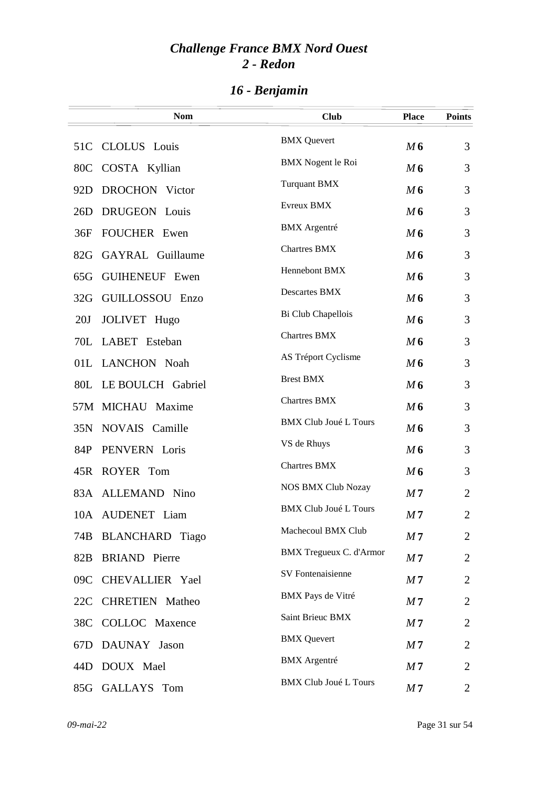|                 | <b>Nom</b>             | <b>Club</b>                  | <b>Place</b>   | <b>Points</b>  |
|-----------------|------------------------|------------------------------|----------------|----------------|
| 51C             | CLOLUS Louis           | <b>BMX</b> Quevert           | M6             | 3              |
| 80C             | COSTA Kyllian          | <b>BMX</b> Nogent le Roi     | M6             | 3              |
| 92D             | DROCHON Victor         | <b>Turquant BMX</b>          | M 6            | 3              |
| 26D             | DRUGEON Louis          | Evreux BMX                   | M6             | 3              |
| 36F             | <b>FOUCHER Ewen</b>    | <b>BMX</b> Argentré          | M6             | 3              |
| 82G             | GAYRAL Guillaume       | <b>Chartres BMX</b>          | M6             | 3              |
| 65G             | <b>GUIHENEUF Ewen</b>  | Hennebont BMX                | M6             | 3              |
| 32G             | GUILLOSSOU Enzo        | Descartes BMX                | M6             | 3              |
| 20J             | JOLIVET Hugo           | Bi Club Chapellois           | M6             | 3              |
|                 | 70L LABET Esteban      | <b>Chartres BMX</b>          | M6             | 3              |
|                 | 01L LANCHON Noah       | AS Tréport Cyclisme          | M6             | 3              |
|                 | 80L LE BOULCH Gabriel  | <b>Brest BMX</b>             | M6             | 3              |
|                 | 57M MICHAU Maxime      | <b>Chartres BMX</b>          | M6             | 3              |
|                 | 35N NOVAIS Camille     | <b>BMX Club Joué L Tours</b> | M6             | 3              |
| 84P             | PENVERN Loris          | VS de Rhuys                  | M6             | 3              |
|                 | 45R ROYER Tom          | <b>Chartres BMX</b>          | M6             | 3              |
|                 | 83A ALLEMAND Nino      | <b>NOS BMX Club Nozay</b>    | M <sub>7</sub> | $\overline{2}$ |
|                 | 10A AUDENET Liam       | <b>BMX Club Joué L Tours</b> | M <sub>7</sub> | $\overline{2}$ |
| 74B             | <b>BLANCHARD</b> Tiago | Machecoul BMX Club           | M <sub>7</sub> | $\overline{2}$ |
| 82B             | <b>BRIAND</b> Pierre   | BMX Tregueux C. d'Armor      | M <sub>7</sub> | $\overline{2}$ |
| 09C             | CHEVALLIER Yael        | SV Fontenaisienne            | M <sub>7</sub> | $\overline{2}$ |
| 22C             | <b>CHRETIEN</b> Matheo | BMX Pays de Vitré            | M <sub>7</sub> | $\overline{2}$ |
| 38C             | COLLOC Maxence         | Saint Brieuc BMX             | M <sub>7</sub> | $\overline{2}$ |
| 67 <sub>D</sub> | DAUNAY Jason           | <b>BMX</b> Quevert           | M <sub>7</sub> | $\overline{2}$ |
| 44D             | DOUX Mael              | <b>BMX</b> Argentré          | M 7            | 2              |
| 85G             | GALLAYS Tom            | <b>BMX Club Joué L Tours</b> | M <sub>7</sub> | $\overline{2}$ |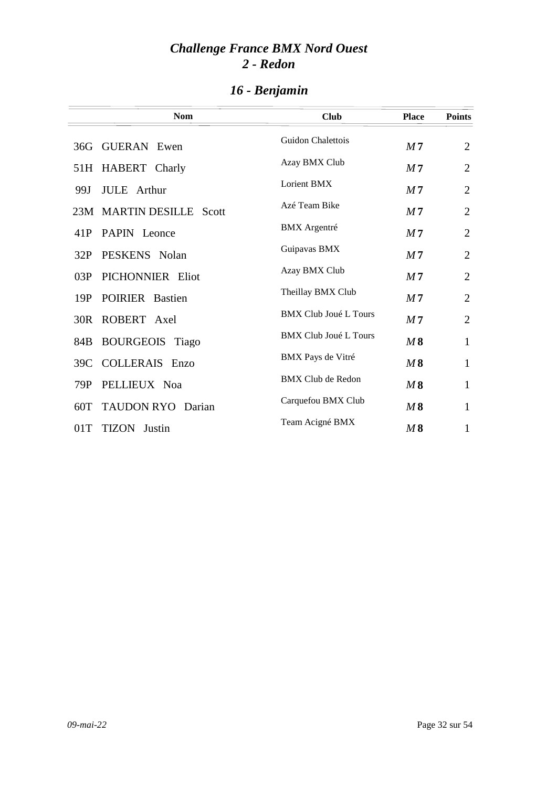|     | <b>Nom</b>                  | <b>Club</b>                  | <b>Place</b>   | <b>Points</b>  |
|-----|-----------------------------|------------------------------|----------------|----------------|
|     | 36G GUERAN Ewen             | Guidon Chalettois            | M <sub>7</sub> | $\overline{2}$ |
|     | 51H HABERT Charly           | Azay BMX Club                | M <sub>7</sub> | $\overline{2}$ |
| 99J | JULE Arthur                 | Lorient BMX                  | M <sub>7</sub> | $\overline{2}$ |
|     | 23M MARTIN DESILLE<br>Scott | Azé Team Bike                | M <sub>7</sub> | $\overline{2}$ |
| 41P | PAPIN Leonce                | <b>BMX</b> Argentré          | M <sub>7</sub> | $\overline{2}$ |
| 32P | PESKENS Nolan               | Guipavas BMX                 | M <sub>7</sub> | $\overline{2}$ |
| 03P | PICHONNIER Eliot            | Azay BMX Club                | M <sub>7</sub> | $\overline{2}$ |
| 19P | POIRIER Bastien             | Theillay BMX Club            | M <sub>7</sub> | $\overline{2}$ |
|     | 30R ROBERT Axel             | <b>BMX Club Joué L Tours</b> | M <sub>7</sub> | $\overline{2}$ |
|     | 84B BOURGEOIS Tiago         | <b>BMX Club Joué L Tours</b> | M8             | $\mathbf{1}$   |
| 39C | <b>COLLERAIS Enzo</b>       | BMX Pays de Vitré            | M8             | $\mathbf{1}$   |
| 79P | PELLIEUX Noa                | <b>BMX Club de Redon</b>     | M8             | 1              |
|     | 60T TAUDON RYO Darian       | Carquefou BMX Club           | M8             | $\mathbf{1}$   |
| 01T | <b>TIZON</b> Justin         | Team Acigné BMX              | M8             | $\mathbf{1}$   |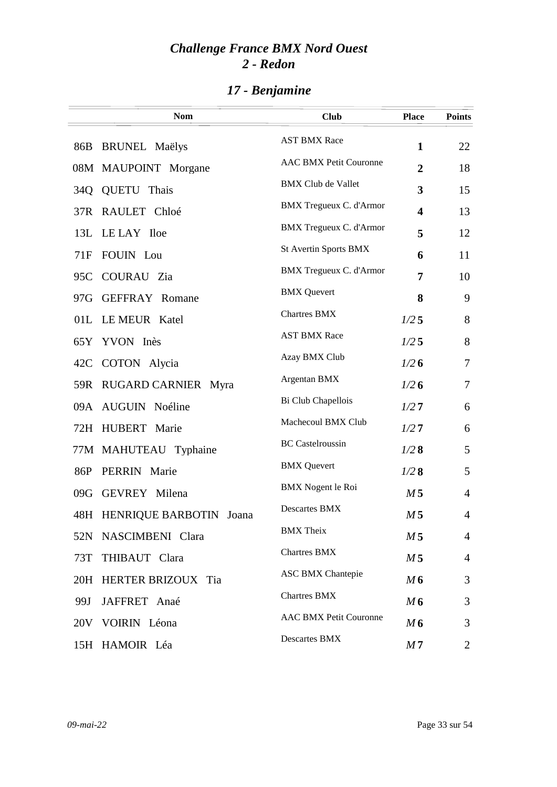|     | <b>Nom</b>                  | <b>Club</b>                    | <b>Place</b>            | <b>Points</b>  |
|-----|-----------------------------|--------------------------------|-------------------------|----------------|
| 86B | <b>BRUNEL Maëlys</b>        | <b>AST BMX Race</b>            | 1                       | 22             |
|     | 08M MAUPOINT Morgane        | <b>AAC BMX Petit Couronne</b>  | $\overline{2}$          | 18             |
| 34Q | QUETU Thais                 | <b>BMX Club de Vallet</b>      | 3                       | 15             |
| 37R | RAULET Chloé                | <b>BMX</b> Tregueux C. d'Armor | $\overline{\mathbf{4}}$ | 13             |
| 13L | LE LAY Iloe                 | <b>BMX Tregueux C. d'Armor</b> | 5                       | 12             |
| 71F | FOUIN Lou                   | St Avertin Sports BMX          | 6                       | 11             |
| 95C | COURAU Zia                  | <b>BMX Tregueux C. d'Armor</b> | 7                       | 10             |
| 97G | <b>GEFFRAY Romane</b>       | <b>BMX</b> Quevert             | 8                       | 9              |
|     | 01L LEMEUR Katel            | <b>Chartres BMX</b>            | $1/2$ 5                 | 8              |
|     | 65Y YVON Inès               | <b>AST BMX Race</b>            | $1/2$ 5                 | 8              |
| 42C | COTON Alycia                | Azay BMX Club                  | 1/26                    | 7              |
|     | 59R RUGARD CARNIER Myra     | Argentan BMX                   | 1/26                    | $\overline{7}$ |
|     | 09A AUGUIN Noéline          | Bi Club Chapellois             | 1/27                    | 6              |
|     | 72H HUBERT Marie            | Machecoul BMX Club             | 1/27                    | 6              |
|     | 77M MAHUTEAU Typhaine       | <b>BC</b> Castelroussin        | 1/28                    | 5              |
| 86P | PERRIN Marie                | <b>BMX</b> Quevert             | 1/28                    | 5              |
| 09G | <b>GEVREY</b> Milena        | <b>BMX</b> Nogent le Roi       | M <sub>5</sub>          | $\overline{4}$ |
|     | 48H HENRIQUE BARBOTIN Joana | Descartes BMX                  | M <sub>5</sub>          | 4              |
|     | 52N NASCIMBENI Clara        | <b>BMX</b> Theix               | M <sub>5</sub>          | $\overline{4}$ |
| 73T | THIBAUT Clara               | <b>Chartres BMX</b>            | M <sub>5</sub>          | 4              |
|     | 20H HERTER BRIZOUX Tia      | <b>ASC BMX Chantepie</b>       | M6                      | 3              |
| 99J | JAFFRET Anaé                | <b>Chartres BMX</b>            | M6                      | 3              |
|     | 20V VOIRIN Léona            | <b>AAC BMX Petit Couronne</b>  | M6                      | 3              |
|     | 15H HAMOIR Léa              | Descartes BMX                  | M <sub>7</sub>          | $\overline{2}$ |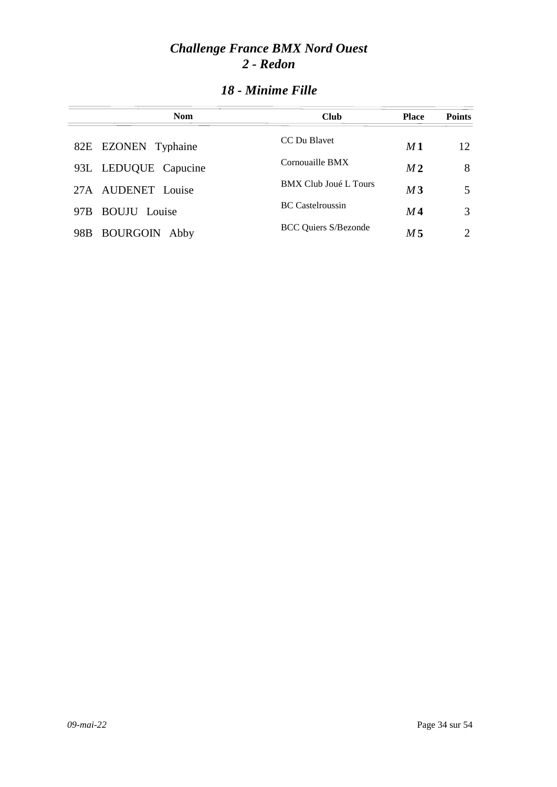| <b>Nom</b>                  | <b>Club</b>                  | <b>Place</b>   | <b>Points</b>               |
|-----------------------------|------------------------------|----------------|-----------------------------|
| 82E EZONEN Typhaine         | CC Du Blavet                 | M1             | 12.                         |
| 93L LEDUQUE Capucine        | Cornouaille BMX              | M <sub>2</sub> | 8                           |
| 27A AUDENET Louise          | <b>BMX Club Joué L Tours</b> | M <sub>3</sub> | 5                           |
| <b>BOUJU</b> Louise<br>97B  | <b>BC</b> Castelroussin      | M 4            | 3                           |
| <b>BOURGOIN Abby</b><br>98B | <b>BCC Quiers S/Bezonde</b>  | M 5            | $\mathcal{D}_{\mathcal{L}}$ |

### *18 - Minime Fille*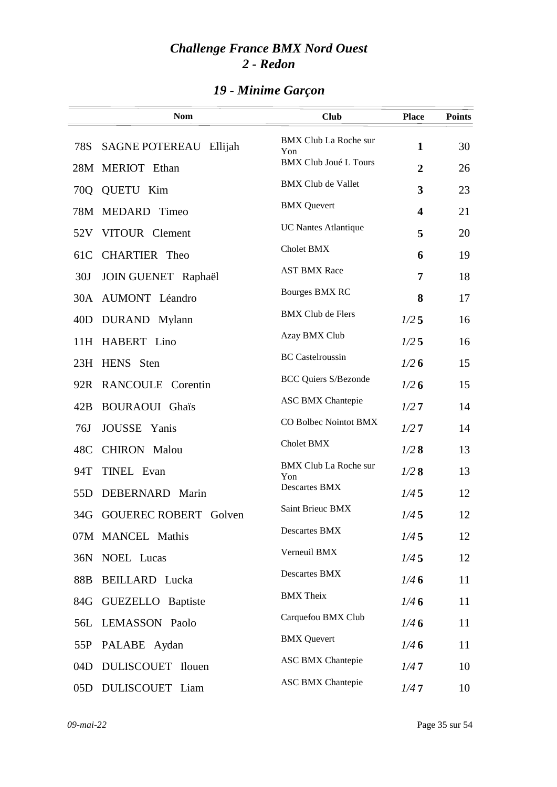|     | <b>Nom</b>                       | <b>Club</b>                         | <b>Place</b>            | <b>Points</b> |
|-----|----------------------------------|-------------------------------------|-------------------------|---------------|
| 78S | <b>SAGNE POTEREAU</b><br>Ellijah | <b>BMX Club La Roche sur</b>        | $\mathbf{1}$            | 30            |
| 28M | MERIOT Ethan                     | Yon<br><b>BMX Club Joué L Tours</b> | $\overline{2}$          | 26            |
| 70Q | QUETU Kim                        | <b>BMX Club de Vallet</b>           | 3                       | 23            |
| 78M | MEDARD Timeo                     | <b>BMX</b> Quevert                  | $\overline{\mathbf{4}}$ | 21            |
| 52V | VITOUR Clement                   | <b>UC Nantes Atlantique</b>         | 5                       | 20            |
| 61C | CHARTIER Theo                    | Cholet BMX                          | 6                       | 19            |
| 30J | <b>JOIN GUENET Raphaël</b>       | <b>AST BMX Race</b>                 | 7                       | 18            |
|     | 30A AUMONT Léandro               | <b>Bourges BMX RC</b>               | 8                       | 17            |
| 40D | DURAND Mylann                    | <b>BMX Club de Flers</b>            | 1/25                    | 16            |
|     | 11H HABERT Lino                  | Azay BMX Club                       | 1/25                    | 16            |
|     | 23H HENS Sten                    | <b>BC</b> Castelroussin             | 1/26                    | 15            |
|     | 92R RANCOULE Corentin            | <b>BCC Quiers S/Bezonde</b>         | 1/26                    | 15            |
| 42B | <b>BOURAOUI</b> Ghaïs            | <b>ASC BMX Chantepie</b>            | 1/27                    | 14            |
| 76J | JOUSSE Yanis                     | CO Bolbec Nointot BMX               | 1/27                    | 14            |
| 48C | <b>CHIRON</b> Malou              | Cholet BMX                          | 1/28                    | 13            |
| 94T | <b>TINEL Evan</b>                | <b>BMX Club La Roche sur</b><br>Yon | 1/28                    | 13            |
| 55D | DEBERNARD Marin                  | Descartes BMX                       | 1/45                    | 12            |
|     | 34G GOUEREC ROBERT Golven        | Saint Brieuc BMX                    | 1/45                    | 12            |
|     | 07M MANCEL Mathis                | Descartes BMX                       | 1/45                    | 12            |
|     | 36N NOEL Lucas                   | Verneuil BMX                        | 1/45                    | 12            |
| 88B | <b>BEILLARD</b> Lucka            | Descartes BMX                       | 1/46                    | 11            |
|     | 84G GUEZELLO Baptiste            | <b>BMX</b> Theix                    | 1/46                    | 11            |
|     | 56L LEMASSON Paolo               | Carquefou BMX Club                  | 1/46                    | 11            |
| 55P | PALABE Aydan                     | <b>BMX</b> Quevert                  | 1/46                    | 11            |
| 04D | DULISCOUET Ilouen                | <b>ASC BMX Chantepie</b>            | 1/47                    | 10            |
|     | 05D DULISCOUET Liam              | <b>ASC BMX Chantepie</b>            | 1/47                    | 10            |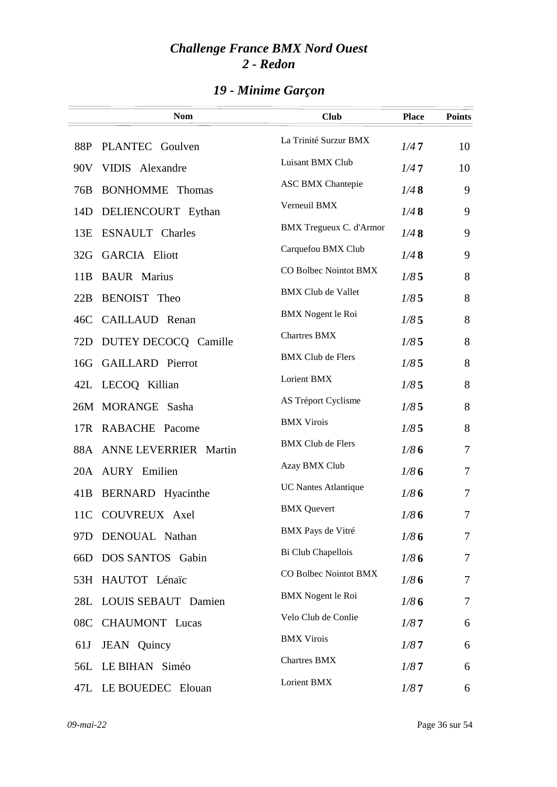|     | <b>Nom</b>                | <b>Club</b>                 | <b>Place</b> | <b>Points</b> |
|-----|---------------------------|-----------------------------|--------------|---------------|
| 88P | PLANTEC Goulven           | La Trinité Surzur BMX       | 1/47         | 10            |
|     | 90V VIDIS Alexandre       | Luisant BMX Club            | 1/47         | 10            |
| 76B | <b>BONHOMME</b> Thomas    | <b>ASC BMX Chantepie</b>    | 1/48         | 9             |
| 14D | DELIENCOURT Eythan        | Verneuil BMX                | 1/48         | 9             |
| 13E | <b>ESNAULT</b> Charles    | BMX Tregueux C. d'Armor     | 1/48         | 9             |
| 32G | <b>GARCIA Eliott</b>      | Carquefou BMX Club          | 1/48         | 9             |
| 11B | <b>BAUR</b> Marius        | CO Bolbec Nointot BMX       | 1/85         | 8             |
| 22B | BENOIST Theo              | <b>BMX Club de Vallet</b>   | 1/85         | 8             |
| 46C | CAILLAUD Renan            | <b>BMX</b> Nogent le Roi    | 1/85         | 8             |
|     | 72D DUTEY DECOCQ Camille  | <b>Chartres BMX</b>         | 1/85         | 8             |
|     | 16G GAILLARD Pierrot      | <b>BMX Club de Flers</b>    | 1/85         | 8             |
|     | 42L LECOQ Killian         | Lorient BMX                 | 1/85         | 8             |
|     | 26M MORANGE Sasha         | AS Tréport Cyclisme         | 1/85         | 8             |
|     | 17R RABACHE Pacome        | <b>BMX Virois</b>           | 1/85         | 8             |
|     | 88A ANNE LEVERRIER Martin | <b>BMX Club de Flers</b>    | 1/86         | 7             |
|     | 20A AURY Emilien          | Azay BMX Club               | 1/86         | 7             |
| 41B | BERNARD Hyacinthe         | <b>UC Nantes Atlantique</b> | 1/86         | 7             |
|     | 11C COUVREUX Axel         | <b>BMX</b> Quevert          | 1/86         | 7             |
| 97D | DENOUAL Nathan            | <b>BMX</b> Pays de Vitré    | 1/86         | $\tau$        |
| 66D | DOS SANTOS Gabin          | Bi Club Chapellois          | 1/86         | 7             |
|     | 53H HAUTOT Lénaïc         | CO Bolbec Nointot BMX       | 1/86         | 7             |
| 28L | LOUIS SEBAUT Damien       | <b>BMX</b> Nogent le Roi    | 1/86         | $\tau$        |
| 08C | <b>CHAUMONT</b> Lucas     | Velo Club de Conlie         | 1/87         | 6             |
| 61J | JEAN Quincy               | <b>BMX Virois</b>           | 1/87         | 6             |
| 56L | LE BIHAN Siméo            | <b>Chartres BMX</b>         | 1/87         | 6             |
|     | 47L LE BOUEDEC Elouan     | Lorient BMX                 | 1/87         | 6             |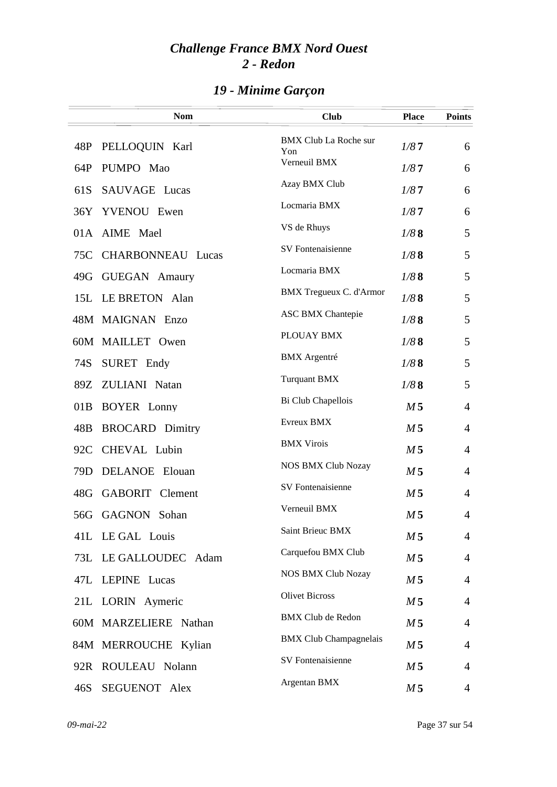|     | <b>Nom</b>               | <b>Club</b>                         | <b>Place</b>   | <b>Points</b>  |
|-----|--------------------------|-------------------------------------|----------------|----------------|
| 48P | PELLOQUIN Karl           | <b>BMX Club La Roche sur</b><br>Yon | 1/87           | 6              |
| 64P | PUMPO Mao                | Verneuil BMX                        | 1/87           | 6              |
| 61S | SAUVAGE Lucas            | Azay BMX Club                       | 1/87           | 6              |
| 36Y | YVENOU Ewen              | Locmaria BMX                        | 1/87           | 6              |
| 01A | AIME Mael                | VS de Rhuys                         | 1/88           | 5              |
| 75C | <b>CHARBONNEAU Lucas</b> | SV Fontenaisienne                   | 1/88           | 5              |
| 49G | <b>GUEGAN</b> Amaury     | Locmaria BMX                        | 1/88           | 5              |
|     | 15L LE BRETON Alan       | <b>BMX Tregueux C. d'Armor</b>      | 1/88           | 5              |
|     | 48M MAIGNAN Enzo         | <b>ASC BMX Chantepie</b>            | 1/88           | 5              |
|     | 60M MAILLET Owen         | PLOUAY BMX                          | 1/88           | 5              |
| 74S | SURET Endy               | <b>BMX</b> Argentré                 | 1/88           | 5              |
| 89Z | ZULIANI Natan            | <b>Turquant BMX</b>                 | 1/88           | 5              |
| 01B | <b>BOYER</b> Lonny       | Bi Club Chapellois                  | M <sub>5</sub> | $\overline{4}$ |
| 48B | <b>BROCARD</b> Dimitry   | Evreux BMX                          | M <sub>5</sub> | $\overline{4}$ |
| 92C | CHEVAL Lubin             | <b>BMX Virois</b>                   | M <sub>5</sub> | 4              |
| 79D | <b>DELANOE</b> Elouan    | <b>NOS BMX Club Nozay</b>           | M <sub>5</sub> | $\overline{4}$ |
| 48G | <b>GABORIT</b> Clement   | SV Fontenaisienne                   | M <sub>5</sub> | $\overline{4}$ |
|     | 56G GAGNON Sohan         | Verneuil BMX                        | M <sub>5</sub> | 4              |
|     | 41L LE GAL Louis         | Saint Brieuc BMX                    | M <sub>5</sub> | $\overline{4}$ |
|     | 73L LE GALLOUDEC Adam    | Carquefou BMX Club                  | M <sub>5</sub> | $\overline{4}$ |
|     | 47L LEPINE Lucas         | <b>NOS BMX Club Nozay</b>           | M <sub>5</sub> | $\overline{4}$ |
|     | 21L LORIN Aymeric        | <b>Olivet Bicross</b>               | M <sub>5</sub> | 4              |
|     | 60M MARZELIERE Nathan    | <b>BMX Club de Redon</b>            | M <sub>5</sub> | 4              |
|     | 84M MERROUCHE Kylian     | <b>BMX Club Champagnelais</b>       | M <sub>5</sub> | $\overline{4}$ |
|     | 92R ROULEAU Nolann       | SV Fontenaisienne                   | M 5            | $\overline{4}$ |
| 46S | SEGUENOT Alex            | Argentan BMX                        | M <sub>5</sub> | $\overline{4}$ |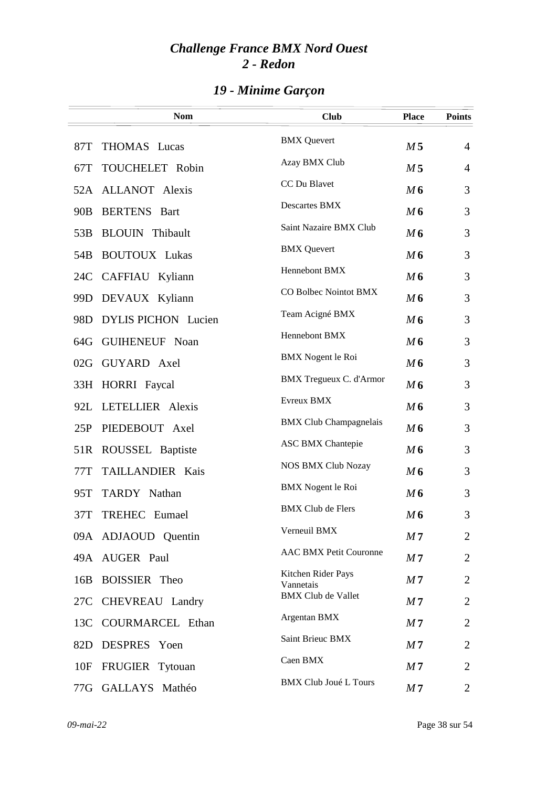|                 | <b>Nom</b>                 | <b>Club</b>                     | <b>Place</b>   | <b>Points</b>  |
|-----------------|----------------------------|---------------------------------|----------------|----------------|
| 87T             | THOMAS Lucas               | <b>BMX</b> Quevert              | M <sub>5</sub> | $\overline{4}$ |
| 67T             | TOUCHELET Robin            | Azay BMX Club                   | M <sub>5</sub> | $\overline{4}$ |
|                 | 52A ALLANOT Alexis         | CC Du Blavet                    | M 6            | 3              |
| 90 <sub>B</sub> | <b>BERTENS</b> Bart        | Descartes BMX                   | M6             | 3              |
| 53B             | <b>BLOUIN</b> Thibault     | Saint Nazaire BMX Club          | M6             | 3              |
| 54 <sub>B</sub> | <b>BOUTOUX</b> Lukas       | <b>BMX</b> Quevert              | M6             | 3              |
| 24C             | CAFFIAU Kyliann            | Hennebont BMX                   | M6             | 3              |
| 99D             | DEVAUX Kyliann             | CO Bolbec Nointot BMX           | M6             | 3              |
| 98 <sub>D</sub> | <b>DYLIS PICHON</b> Lucien | Team Acigné BMX                 | M6             | 3              |
|                 | 64G GUIHENEUF Noan         | Hennebont BMX                   | M6             | 3              |
|                 | 02G GUYARD Axel            | <b>BMX</b> Nogent le Roi        | M6             | 3              |
|                 | 33H HORRI Faycal           | <b>BMX</b> Tregueux C. d'Armor  | M6             | 3              |
| 92L             | LETELLIER Alexis           | Evreux BMX                      | M6             | 3              |
| 25P             | PIEDEBOUT Axel             | <b>BMX Club Champagnelais</b>   | M6             | 3              |
| 51R             | ROUSSEL Baptiste           | <b>ASC BMX Chantepie</b>        | M6             | 3              |
| 77T             | TAILLANDIER Kais           | <b>NOS BMX Club Nozay</b>       | M6             | 3              |
| 95T             | TARDY Nathan               | <b>BMX</b> Nogent le Roi        | M6             | 3              |
| 37T             | TREHEC Eumael              | <b>BMX Club de Flers</b>        | M6             | 3              |
|                 | 09A ADJAOUD Quentin        | Verneuil BMX                    | M <sub>7</sub> | $\overline{2}$ |
|                 | 49A AUGER Paul             | <b>AAC BMX Petit Couronne</b>   | M <sub>7</sub> | $\overline{2}$ |
| 16B             | <b>BOISSIER</b> Theo       | Kitchen Rider Pays<br>Vannetais | M <sub>7</sub> | $\overline{2}$ |
| 27C             | CHEVREAU Landry            | <b>BMX Club de Vallet</b>       | M <sub>7</sub> | $\overline{2}$ |
| 13C             | <b>COURMARCEL Ethan</b>    | Argentan BMX                    | M <sub>7</sub> | 2              |
| 82D             | DESPRES Yoen               | Saint Brieuc BMX                | M <sub>7</sub> | 2              |
| 10F             | FRUGIER Tytouan            | Caen BMX                        | M <sub>7</sub> | 2              |
|                 | 77G GALLAYS Mathéo         | <b>BMX Club Joué L Tours</b>    | M <sub>7</sub> | 2              |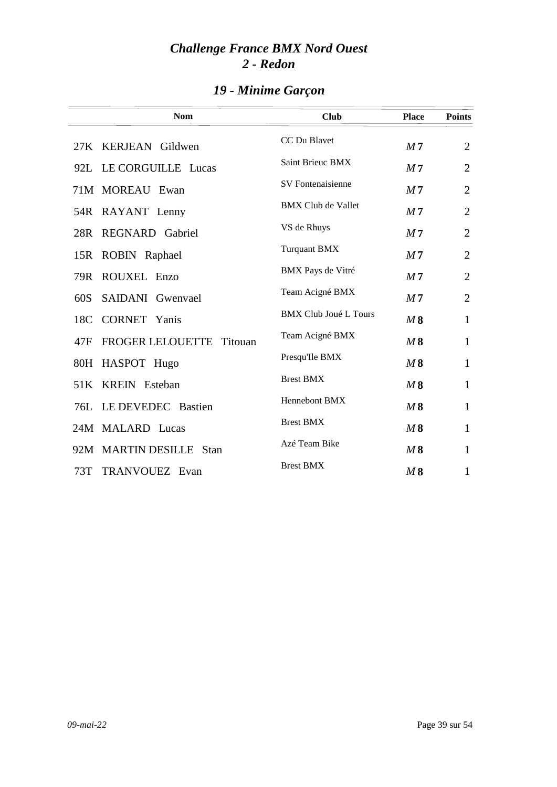| <b>Nom</b>                                | <b>Club</b>                  | <b>Place</b>   | <b>Points</b>  |
|-------------------------------------------|------------------------------|----------------|----------------|
| 27K KERJEAN Gildwen                       | CC Du Blavet                 | M <sub>7</sub> | $\overline{2}$ |
| 92L LE CORGUILLE Lucas                    | Saint Brieuc BMX             | M <sub>7</sub> | $\overline{2}$ |
| 71M MOREAU Ewan                           | <b>SV</b> Fontenaisienne     | M <sub>7</sub> | $\overline{2}$ |
| 54R RAYANT Lenny                          | <b>BMX Club de Vallet</b>    | M <sub>7</sub> | $\overline{2}$ |
| REGNARD Gabriel<br>28R                    | VS de Rhuys                  | M <sub>7</sub> | $\overline{2}$ |
| 15R<br>ROBIN Raphael                      | <b>Turquant BMX</b>          | M <sub>7</sub> | $\overline{2}$ |
| 79R ROUXEL Enzo                           | BMX Pays de Vitré            | M <sub>7</sub> | $\overline{2}$ |
| SAIDANI Gwenyael<br>60S                   | Team Acigné BMX              | M <sub>7</sub> | $\overline{2}$ |
| <b>CORNET Yanis</b><br>18C                | <b>BMX Club Joué L Tours</b> | M8             | $\mathbf{1}$   |
| <b>FROGER LELOUETTE</b><br>47F<br>Titouan | Team Acigné BMX              | M8             | $\mathbf{1}$   |
| 80H HASPOT Hugo                           | Presqu'Ile BMX               | M8             | $\mathbf{1}$   |
| 51K KREIN Esteban                         | <b>Brest BMX</b>             | M8             | $\mathbf{1}$   |
| 76L LE DEVEDEC Bastien                    | Hennebont BMX                | M8             | $\mathbf{1}$   |
| 24M MALARD Lucas                          | <b>Brest BMX</b>             | M8             | $\mathbf{1}$   |
| 92M MARTIN DESILLE Stan                   | Azé Team Bike                | M8             | $\mathbf{1}$   |
| TRANVOUEZ Evan<br>73T                     | <b>Brest BMX</b>             | M8             | $\mathbf{1}$   |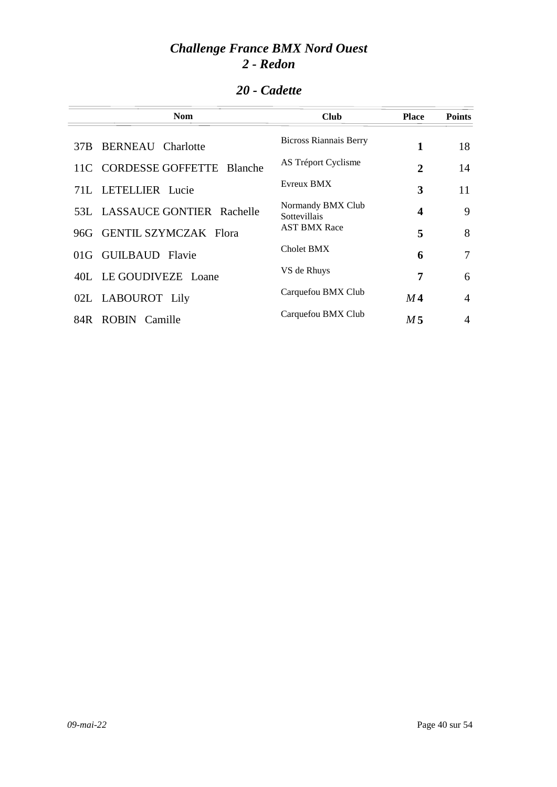| 20 - Cadette |
|--------------|
|              |

| <b>Nom</b>                    | <b>Club</b>                              | <b>Place</b> | <b>Points</b>  |
|-------------------------------|------------------------------------------|--------------|----------------|
| 37B BERNEAU Charlotte         | <b>Bicross Riannais Berry</b>            | 1            | 18             |
| 11C CORDESSE GOFFETTE Blanche | AS Tréport Cyclisme                      | 2            | 14             |
| 71L LETELLIER Lucie           | Evreux BMX                               | 3            | 11             |
| 53L LASSAUCE GONTIER Rachelle | Normandy BMX Club<br><b>Sottevillais</b> | 4            | 9              |
| 96G GENTIL SZYMCZAK Flora     | <b>AST BMX Race</b>                      | 5            | 8              |
| 01G GUILBAUD Flavie           | Cholet BMX                               | 6            | 7              |
| 40L LE GOUDIVEZE Loane        | VS de Rhuys                              | 7            | 6              |
| 02L LABOUROT Lily             | Carquefou BMX Club                       | $M\,4$       | $\overline{4}$ |
| 84R ROBIN Camille             | Carquefou BMX Club                       | M 5          | 4              |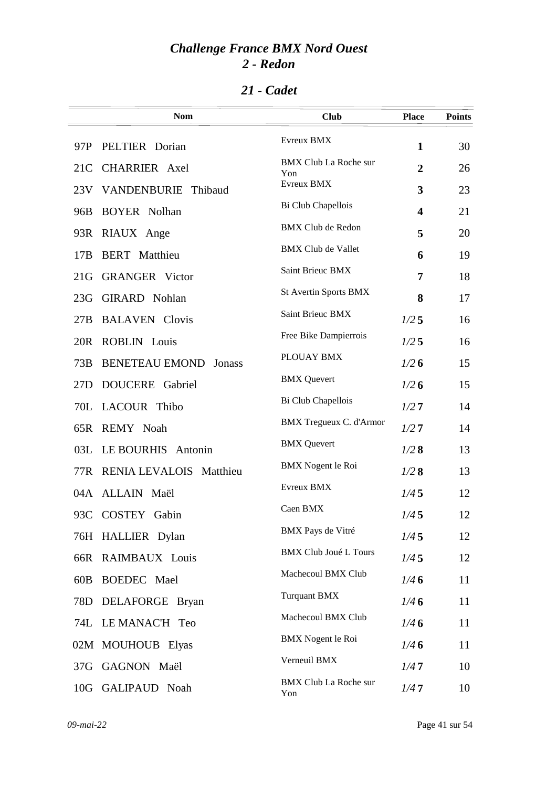### *21 - Cadet*

|     | <b>Nom</b>                      | <b>Club</b>                         | <b>Place</b>            | <b>Points</b> |
|-----|---------------------------------|-------------------------------------|-------------------------|---------------|
| 97P | PELTIER Dorian                  | Evreux BMX                          | 1                       | 30            |
| 21C | <b>CHARRIER</b> Axel            | <b>BMX Club La Roche sur</b><br>Yon | $\overline{2}$          | 26            |
| 23V | VANDENBURIE<br>Thibaud          | Evreux BMX                          | 3                       | 23            |
| 96B | <b>BOYER</b> Nolhan             | Bi Club Chapellois                  | $\overline{\mathbf{4}}$ | 21            |
| 93R | RIAUX Ange                      | <b>BMX Club de Redon</b>            | 5                       | 20            |
| 17B | <b>BERT</b> Matthieu            | <b>BMX Club de Vallet</b>           | 6                       | 19            |
| 21G | <b>GRANGER</b> Victor           | Saint Brieuc BMX                    | 7                       | 18            |
| 23G | <b>GIRARD</b> Nohlan            | <b>St Avertin Sports BMX</b>        | 8                       | 17            |
| 27B | <b>BALAVEN</b> Clovis           | Saint Brieuc BMX                    | 1/25                    | 16            |
| 20R | <b>ROBLIN</b> Louis             | Free Bike Dampierrois               | 1/25                    | 16            |
| 73B | <b>BENETEAU EMOND</b><br>Jonass | PLOUAY BMX                          | 1/26                    | 15            |
| 27D | DOUCERE Gabriel                 | <b>BMX</b> Quevert                  | 1/26                    | 15            |
|     | 70L LACOUR Thibo                | Bi Club Chapellois                  | 1/27                    | 14            |
|     | 65R REMY Noah                   | <b>BMX Tregueux C. d'Armor</b>      | 1/27                    | 14            |
| 03L | LE BOURHIS Antonin              | <b>BMX</b> Quevert                  | 1/28                    | 13            |
| 77R | RENIA LEVALOIS Matthieu         | <b>BMX</b> Nogent le Roi            | 1/28                    | 13            |
|     | 04A ALLAIN Maël                 | Evreux BMX                          | 1/45                    | 12            |
| 93C | COSTEY Gabin                    | Caen BMX                            | 1/45                    | 12            |
|     | 76H HALLIER Dylan               | <b>BMX</b> Pays de Vitré            | 1/45                    | 12            |
| 66R | RAIMBAUX Louis                  | <b>BMX Club Joué L Tours</b>        | 1/45                    | 12            |
| 60B | BOEDEC Mael                     | Machecoul BMX Club                  | 1/46                    | 11            |
| 78D | DELAFORGE Bryan                 | <b>Turquant BMX</b>                 | 1/46                    | 11            |
|     | 74L LE MANAC'H Teo              | Machecoul BMX Club                  | 1/46                    | 11            |
|     | 02M MOUHOUB Elyas               | <b>BMX</b> Nogent le Roi            | 1/46                    | 11            |
| 37G | GAGNON Maël                     | Verneuil BMX                        | 1/47                    | 10            |
|     | 10G GALIPAUD Noah               | <b>BMX Club La Roche sur</b><br>Yon | 1/47                    | 10            |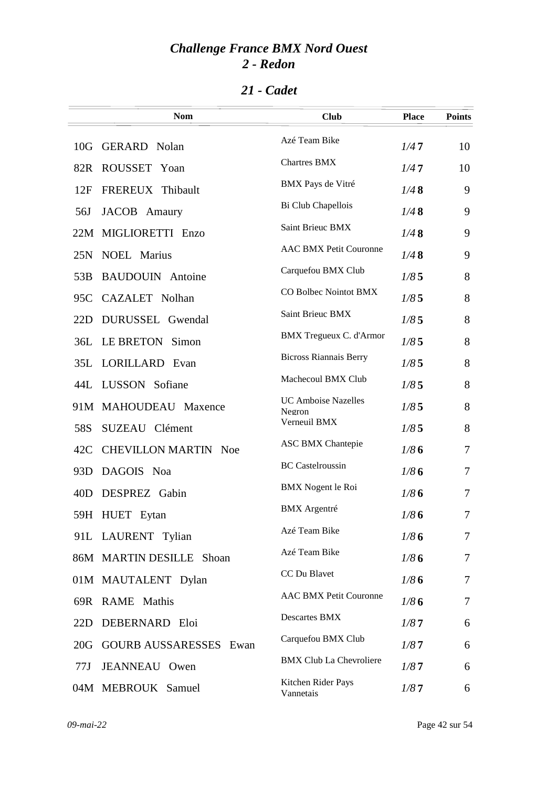|                 | <b>Nom</b>                    | <b>Club</b>                          | <b>Place</b> | <b>Points</b> |
|-----------------|-------------------------------|--------------------------------------|--------------|---------------|
| 10G             | <b>GERARD</b> Nolan           | Azé Team Bike                        | 1/47         | 10            |
| 82R             | ROUSSET Yoan                  | <b>Chartres BMX</b>                  | 1/47         | 10            |
| 12F             | FREREUX Thibault              | BMX Pays de Vitré                    | 1/48         | 9             |
| 56J             | JACOB Amaury                  | Bi Club Chapellois                   | 1/48         | 9             |
|                 | 22M MIGLIORETTI Enzo          | Saint Brieuc BMX                     | 1/48         | 9             |
| 25N             | <b>NOEL Marius</b>            | <b>AAC BMX Petit Couronne</b>        | 1/48         | 9             |
| 53B             | <b>BAUDOUIN</b> Antoine       | Carquefou BMX Club                   | 1/85         | 8             |
| 95C             | CAZALET Nolhan                | CO Bolbec Nointot BMX                | 1/85         | 8             |
| 22D             | DURUSSEL Gwendal              | Saint Brieuc BMX                     | 1/85         | 8             |
| 36L             | LE BRETON Simon               | <b>BMX Tregueux C. d'Armor</b>       | 1/85         | 8             |
| 35L             | LORILLARD Evan                | <b>Bicross Riannais Berry</b>        | 1/85         | 8             |
| 44L             | LUSSON Sofiane                | Machecoul BMX Club                   | 1/85         | 8             |
|                 | 91M MAHOUDEAU Maxence         | <b>UC Amboise Nazelles</b><br>Negron | 1/85         | 8             |
| 58S             | SUZEAU Clément                | Verneuil BMX                         | 1/85         | 8             |
| 42C             | <b>CHEVILLON MARTIN Noe</b>   | <b>ASC BMX Chantepie</b>             | 1/86         | 7             |
| 93 <sub>D</sub> | DAGOIS Noa                    | <b>BC</b> Castelroussin              | 1/86         | 7             |
| 40D             | DESPREZ Gabin                 | <b>BMX</b> Nogent le Roi             | 1/86         | 7             |
|                 | 59H HUET Eytan                | <b>BMX</b> Argentré                  | 1/86         | 7             |
|                 | 91L LAURENT Tylian            | Azé Team Bike                        | 1/86         | 7             |
|                 | 86M MARTIN DESILLE Shoan      | Azé Team Bike                        | 1/86         | 7             |
|                 | 01M MAUTALENT Dylan           | CC Du Blavet                         | 1/86         | 7             |
|                 | 69R RAME Mathis               | <b>AAC BMX Petit Couronne</b>        | 1/86         | 7             |
| 22D             | DEBERNARD Eloi                | Descartes BMX                        | 1/87         | 6             |
| 20G             | <b>GOURB AUSSARESSES Ewan</b> | Carquefou BMX Club                   | 1/87         | 6             |
| 77J             | JEANNEAU Owen                 | <b>BMX Club La Chevroliere</b>       | 1/87         | 6             |
|                 | 04M MEBROUK Samuel            | Kitchen Rider Pays<br>Vannetais      | 1/87         | 6             |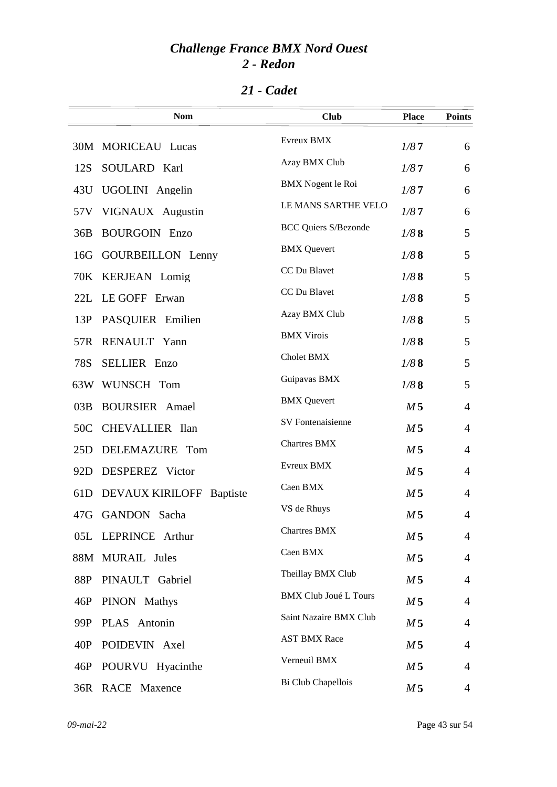| 21 - Cadet |
|------------|
|            |

|                 | <b>Nom</b>               | <b>Club</b>                  | <b>Place</b>   | <b>Points</b>  |
|-----------------|--------------------------|------------------------------|----------------|----------------|
|                 | 30M MORICEAU Lucas       | Evreux BMX                   | 1/87           | 6              |
| 12S             | SOULARD Karl             | Azay BMX Club                | 1/87           | 6              |
| 43U             | UGOLINI Angelin          | <b>BMX</b> Nogent le Roi     | 1/87           | 6              |
| 57V             | VIGNAUX Augustin         | LE MANS SARTHE VELO          | 1/87           | 6              |
| 36B             | <b>BOURGOIN Enzo</b>     | <b>BCC Quiers S/Bezonde</b>  | 1/88           | 5              |
| 16G             | <b>GOURBEILLON</b> Lenny | <b>BMX</b> Quevert           | 1/88           | 5              |
|                 | 70K KERJEAN Lomig        | CC Du Blavet                 | 1/88           | 5              |
| 22L             | LE GOFF Erwan            | CC Du Blavet                 | 1/88           | 5              |
| 13P             | PASQUIER Emilien         | Azay BMX Club                | 1/88           | 5              |
| 57R             | RENAULT Yann             | <b>BMX Virois</b>            | 1/88           | 5              |
| 78S             | <b>SELLIER</b> Enzo      | Cholet BMX                   | 1/88           | 5              |
|                 | 63W WUNSCH Tom           | Guipavas BMX                 | 1/88           | 5              |
| 03B             | <b>BOURSIER</b> Amael    | <b>BMX</b> Quevert           | M <sub>5</sub> | 4              |
| 50C             | CHEVALLIER Ilan          | SV Fontenaisienne            | M <sub>5</sub> | $\overline{4}$ |
| 25D             | DELEMAZURE Tom           | <b>Chartres BMX</b>          | M <sub>5</sub> | $\overline{4}$ |
| 92D             | DESPEREZ Victor          | Evreux BMX                   | M <sub>5</sub> | $\overline{4}$ |
| 61 <sub>D</sub> | DEVAUX KIRILOFF Baptiste | Caen BMX                     | M <sub>5</sub> | $\overline{4}$ |
| 47G             | GANDON Sacha             | VS de Rhuys                  | M <sub>5</sub> | 4              |
|                 | 05L LEPRINCE Arthur      | <b>Chartres BMX</b>          | M <sub>5</sub> | $\overline{4}$ |
|                 | 88M MURAIL Jules         | Caen BMX                     | M 5            | 4              |
| 88P             | PINAULT Gabriel          | Theillay BMX Club            | M <sub>5</sub> | $\overline{4}$ |
| 46P             | PINON Mathys             | <b>BMX Club Joué L Tours</b> | M <sub>5</sub> | $\overline{4}$ |
| 99P             | PLAS Antonin             | Saint Nazaire BMX Club       | M <sub>5</sub> | $\overline{4}$ |
| 40P             | POIDEVIN Axel            | <b>AST BMX Race</b>          | M <sub>5</sub> | $\overline{4}$ |
| 46P             | POURVU Hyacinthe         | Verneuil BMX                 | M <sub>5</sub> | $\overline{4}$ |
|                 | 36R RACE Maxence         | Bi Club Chapellois           | M <sub>5</sub> | 4              |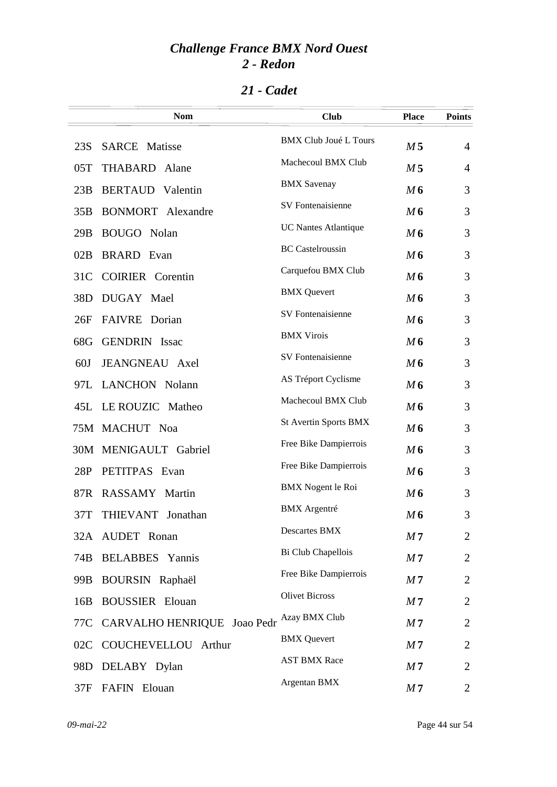| 21 - Cadet |
|------------|
|            |

|                 | <b>Nom</b>                  | <b>Club</b>                  | <b>Place</b>   | <b>Points</b>  |
|-----------------|-----------------------------|------------------------------|----------------|----------------|
| 23S             | <b>SARCE</b> Matisse        | <b>BMX Club Joué L Tours</b> | M <sub>5</sub> | $\overline{4}$ |
| 05T             | <b>THABARD</b><br>Alane     | Machecoul BMX Club           | M <sub>5</sub> | 4              |
| 23B             | <b>BERTAUD</b> Valentin     | <b>BMX</b> Savenay           | M6             | 3              |
| 35B             | <b>BONMORT</b> Alexandre    | SV Fontenaisienne            | M6             | 3              |
| 29B             | BOUGO Nolan                 | <b>UC Nantes Atlantique</b>  | M6             | 3              |
| 02B             | <b>BRARD</b> Evan           | <b>BC</b> Castelroussin      | M6             | 3              |
| 31 <sup>C</sup> | <b>COIRIER</b> Corentin     | Carquefou BMX Club           | M6             | 3              |
| 38D             | DUGAY Mael                  | <b>BMX</b> Quevert           | M6             | 3              |
| 26F             | FAIVRE Dorian               | <b>SV</b> Fontenaisienne     | M6             | 3              |
| 68G             | <b>GENDRIN</b> Issac        | <b>BMX Virois</b>            | M6             | 3              |
| 60J             | JEANGNEAU Axel              | SV Fontenaisienne            | M6             | 3              |
| 97L             | <b>LANCHON</b> Nolann       | AS Tréport Cyclisme          | M6             | 3              |
| 45L             | LE ROUZIC Matheo            | Machecoul BMX Club           | M6             | 3              |
|                 | 75M MACHUT Noa              | <b>St Avertin Sports BMX</b> | M6             | 3              |
|                 | 30M MENIGAULT Gabriel       | Free Bike Dampierrois        | M6             | 3              |
| 28P             | PETITPAS Evan               | Free Bike Dampierrois        | M6             | 3              |
| 87R             | RASSAMY Martin              | <b>BMX</b> Nogent le Roi     | M6             | 3              |
| 37T             | THIEVANT Jonathan           | <b>BMX</b> Argentré          | M6             | 3              |
|                 | 32A AUDET Ronan             | <b>Descartes BMX</b>         | M <sub>7</sub> | $\overline{2}$ |
| 74B             | <b>BELABBES</b> Yannis      | Bi Club Chapellois           | M <sub>7</sub> | $\overline{2}$ |
| 99B             | BOURSIN Raphaël             | Free Bike Dampierrois        | M <sub>7</sub> | $\overline{2}$ |
| 16B             | <b>BOUSSIER</b> Elouan      | <b>Olivet Bicross</b>        | M <sub>7</sub> | $\overline{2}$ |
| 77C             | CARVALHO HENRIQUE Joao Pedr | Azay BMX Club                | M <sub>7</sub> | $\overline{2}$ |
| 02C             | COUCHEVELLOU Arthur         | <b>BMX</b> Quevert           | M <sub>7</sub> | $\overline{2}$ |
| 98D             | DELABY Dylan                | <b>AST BMX Race</b>          | M <sub>7</sub> | $\overline{2}$ |
| 37F             | FAFIN Elouan                | Argentan BMX                 | M <sub>7</sub> | 2              |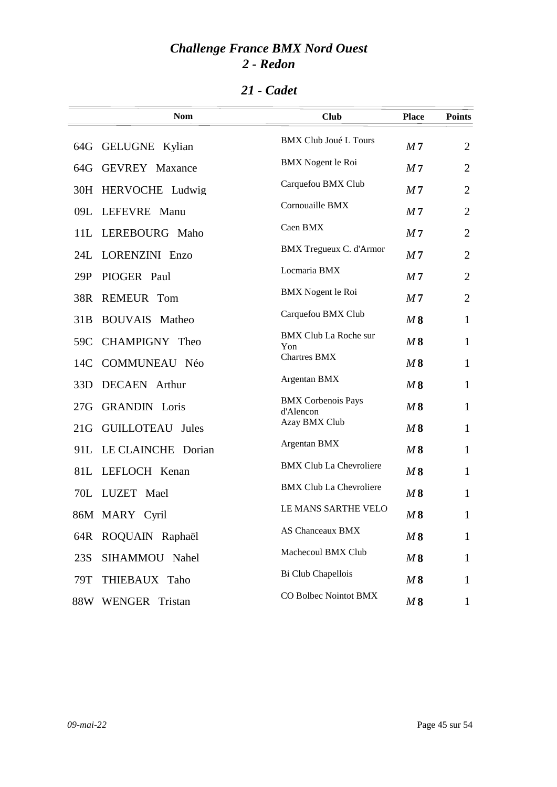|     | <b>Nom</b>              | <b>Club</b>                    | <b>Place</b>   | <b>Points</b>  |
|-----|-------------------------|--------------------------------|----------------|----------------|
|     | 64G GELUGNE Kylian      | <b>BMX Club Joué L Tours</b>   | M <sub>7</sub> | $\overline{2}$ |
| 64G | <b>GEVREY Maxance</b>   | BMX Nogent le Roi              | M <sub>7</sub> | $\overline{2}$ |
| 30H | HERVOCHE Ludwig         | Carquefou BMX Club             | M <sub>7</sub> | $\overline{2}$ |
|     | 09L LEFEVRE Manu        | Cornouaille BMX                | M <sub>7</sub> | $\overline{2}$ |
|     | 11L LEREBOURG Maho      | Caen BMX                       | M <sub>7</sub> | $\overline{2}$ |
|     | 24L LORENZINI Enzo      | <b>BMX</b> Tregueux C. d'Armor | M <sub>7</sub> | $\overline{2}$ |
| 29P | PIOGER Paul             | Locmaria BMX                   | M <sub>7</sub> | $\overline{2}$ |
| 38R | <b>REMEUR Tom</b>       | <b>BMX</b> Nogent le Roi       | M <sub>7</sub> | $\overline{2}$ |
| 31B | <b>BOUVAIS</b> Matheo   | Carquefou BMX Club             | M8             | $\mathbf{1}$   |
| 59C | CHAMPIGNY Theo          | <b>BMX Club La Roche sur</b>   | M8             | $\mathbf{1}$   |
| 14C | <b>COMMUNEAU Néo</b>    | Yon<br><b>Chartres BMX</b>     | M8             | $\mathbf{1}$   |
| 33D | <b>DECAEN</b> Arthur    | Argentan BMX                   | M8             | $\mathbf{1}$   |
| 27G | <b>GRANDIN</b> Loris    | <b>BMX</b> Corbenois Pays      | M8             | $\mathbf{1}$   |
| 21G | <b>GUILLOTEAU</b> Jules | d'Alencon<br>Azay BMX Club     | M8             | $\mathbf{1}$   |
| 91L | LE CLAINCHE Dorian      | Argentan BMX                   | M8             | $\mathbf{1}$   |
| 81L | LEFLOCH Kenan           | <b>BMX Club La Chevroliere</b> | M8             | $\mathbf{1}$   |
|     | 70L LUZET Mael          | <b>BMX Club La Chevroliere</b> | M8             | $\mathbf{1}$   |
|     |                         | LE MANS SARTHE VELO            |                |                |
|     | 86M MARY Cyril          | <b>AS Chanceaux BMX</b>        | M8             | 1              |
|     | 64R ROQUAIN Raphaël     | Machecoul BMX Club             | M8             | $\mathbf{1}$   |
| 23S | SIHAMMOU<br>Nahel       | Bi Club Chapellois             | M8             | $\mathbf{1}$   |
| 79T | THIEBAUX Taho           | CO Bolbec Nointot BMX          | M8             | $\mathbf{1}$   |
| 88W | WENGER Tristan          |                                | M8             | $\mathbf{1}$   |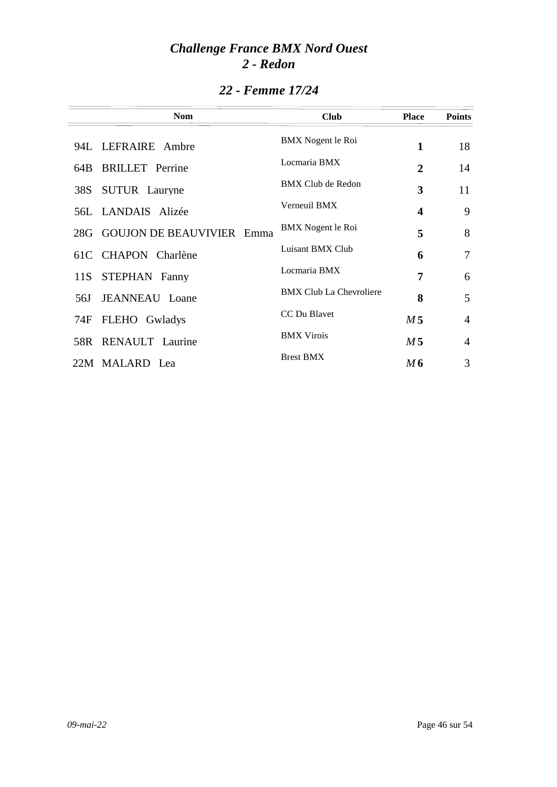|     | <b>Nom</b>                       | <b>Club</b>                    | <b>Place</b>            | <b>Points</b>  |
|-----|----------------------------------|--------------------------------|-------------------------|----------------|
|     | 94L LEFRAIRE Ambre               | BMX Nogent le Roi              | 1                       | 18             |
| 64B | <b>BRILLET</b> Perrine           | Locmaria BMX                   | 2                       | 14             |
| 38S | <b>SUTUR</b> Lauryne             | <b>BMX Club de Redon</b>       | 3                       | 11             |
|     | 56L LANDAIS Alizée               | Verneuil BMX                   | $\overline{\mathbf{4}}$ | 9              |
|     | 28G GOUJON DE BEAUVIVIER<br>Emma | BMX Nogent le Roi              | 5                       | 8              |
|     | 61C CHAPON Charlène              | Luisant BMX Club               | 6                       | 7              |
| 11S | STEPHAN Fanny                    | Locmaria BMX                   | 7                       | 6              |
| 56J | <b>JEANNEAU</b> Loane            | <b>BMX Club La Chevroliere</b> | 8                       | 5              |
| 74F | FLEHO Gwladys                    | CC Du Blavet                   | M <sub>5</sub>          | $\overline{4}$ |
|     | 58R RENAULT Laurine              | <b>BMX</b> Virois              | M <sub>5</sub>          | $\overline{4}$ |
|     | 22M MALARD Lea                   | <b>Brest BMX</b>               | M6                      | 3              |

### *22 - Femme 17/24*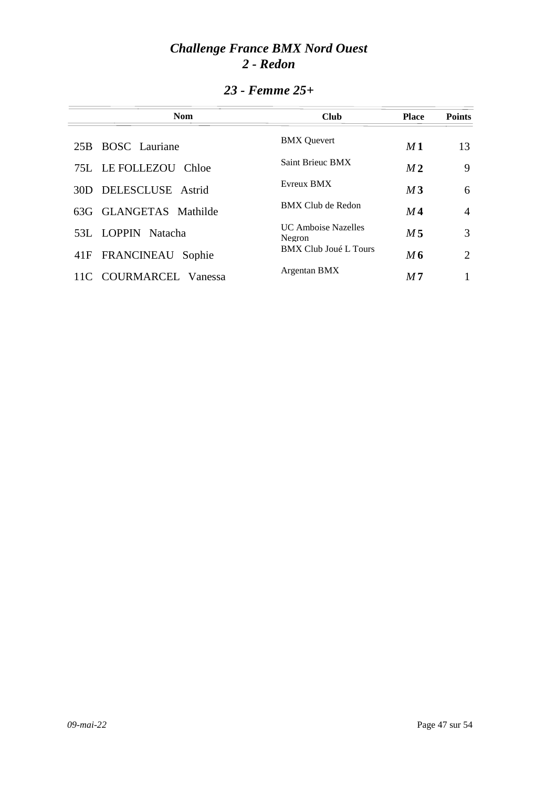| <b>Nom</b>                    | <b>Club</b>                           | <b>Place</b>   | <b>Points</b> |
|-------------------------------|---------------------------------------|----------------|---------------|
| <b>BOSC</b> Lauriane<br>25B   | <b>BMX</b> Quevert                    | M1             | 13            |
| 75L LE FOLLEZOU<br>Chloe      | Saint Brieuc BMX                      | M <sub>2</sub> | 9             |
| 30D DELESCLUSE Astrid         | Evreux BMX                            | M <sub>3</sub> | 6             |
| 63G GLANGETAS Mathilde        | BMX Club de Redon                     | M4             | 4             |
| 53L LOPPIN Natacha            | <b>IIC Amboise Nazelles</b><br>Negron | M 5            | 3             |
| 41F FRANCINEAU<br>Sophie      | <b>BMX Club Joué L Tours</b>          | $M$ 6          | 2             |
| COURMARCEL<br>Vanessa<br>11C. | Argentan BMX                          | M <sub>7</sub> |               |

### *23 - Femme 25+*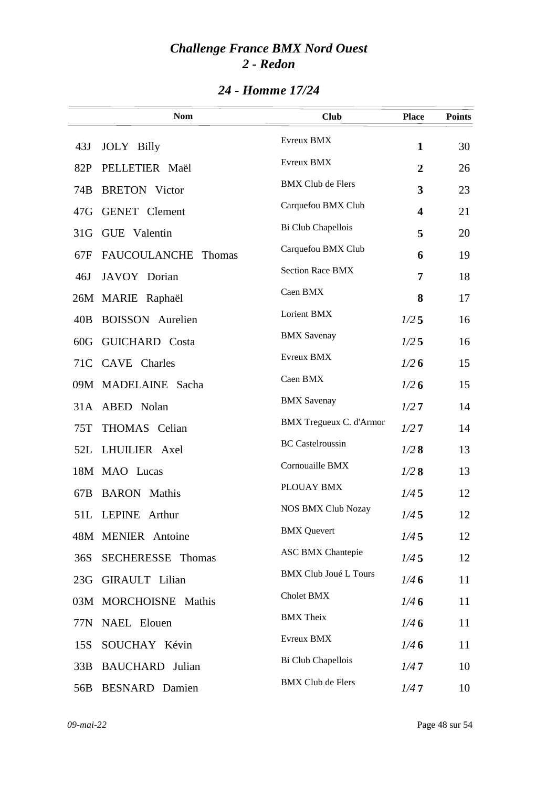|                 | <b>Nom</b>                    | <b>Club</b>                    | <b>Place</b>            | <b>Points</b> |
|-----------------|-------------------------------|--------------------------------|-------------------------|---------------|
| 43J             | <b>JOLY</b> Billy             | Evreux BMX                     | 1                       | 30            |
| 82P             | PELLETIER Maël                | Evreux BMX                     | $\overline{2}$          | 26            |
| 74B             | <b>BRETON</b> Victor          | <b>BMX Club de Flers</b>       | 3                       | 23            |
| 47G             | <b>GENET</b> Clement          | Carquefou BMX Club             | $\overline{\mathbf{4}}$ | 21            |
| 31 <sub>G</sub> | GUE Valentin                  | Bi Club Chapellois             | 5                       | 20            |
| 67F             | <b>FAUCOULANCHE</b><br>Thomas | Carquefou BMX Club             | 6                       | 19            |
| 46J             | JAVOY Dorian                  | <b>Section Race BMX</b>        | 7                       | 18            |
|                 | 26M MARIE Raphaël             | Caen BMX                       | 8                       | 17            |
| 40B             | <b>BOISSON</b> Aurelien       | Lorient BMX                    | 1/25                    | 16            |
| 60G             | <b>GUICHARD</b> Costa         | <b>BMX</b> Savenay             | $1/2$ 5                 | 16            |
|                 | 71C CAVE Charles              | Evreux BMX                     | 1/26                    | 15            |
|                 | 09M MADELAINE Sacha           | Caen BMX                       | 1/26                    | 15            |
|                 | 31A ABED Nolan                | <b>BMX</b> Savenay             | 1/27                    | 14            |
| 75T             | THOMAS Celian                 | <b>BMX Tregueux C. d'Armor</b> | 1/27                    | 14            |
|                 | 52L LHUILIER Axel             | <b>BC</b> Castelroussin        | 1/28                    | 13            |
|                 | 18M MAO Lucas                 | Cornouaille BMX                | 1/28                    | 13            |
| 67B             | <b>BARON</b> Mathis           | PLOUAY BMX                     | 1/45                    | 12            |
|                 | 51L LEPINE Arthur             | <b>NOS BMX Club Nozay</b>      | 1/45                    | 12            |
|                 | 48M MENIER Antoine            | <b>BMX</b> Quevert             | 1/45                    | 12            |
| 36S             | SECHERESSE Thomas             | <b>ASC BMX Chantepie</b>       | 1/45                    | 12            |
| 23G             | <b>GIRAULT</b> Lilian         | <b>BMX Club Joué L Tours</b>   | 1/46                    | 11            |
|                 | 03M MORCHOISNE Mathis         | Cholet BMX                     | 1/46                    | 11            |
|                 | 77N NAEL Elouen               | <b>BMX</b> Theix               | 1/46                    | 11            |
| 15S             | SOUCHAY Kévin                 | Evreux BMX                     | 1/46                    | 11            |
| 33B             | <b>BAUCHARD</b> Julian        | Bi Club Chapellois             | 1/47                    | 10            |
| 56B             | <b>BESNARD</b> Damien         | <b>BMX Club de Flers</b>       | 1/47                    | 10            |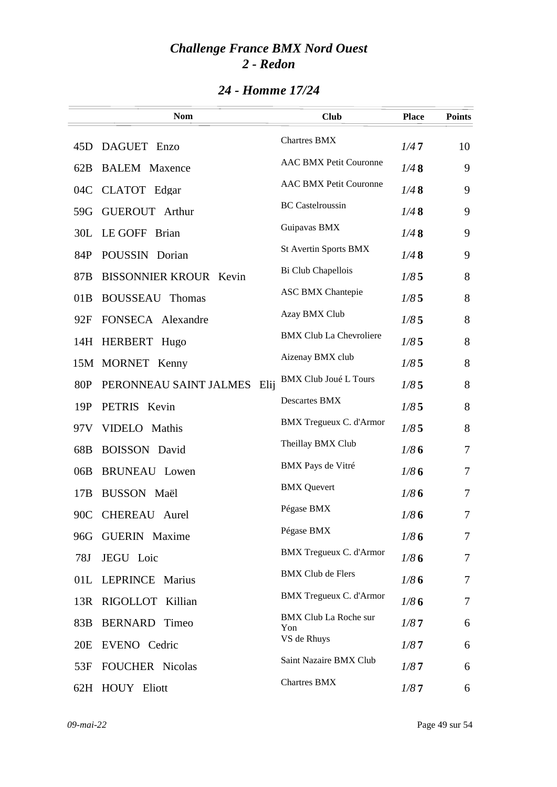|     | <b>Nom</b>                    |      | <b>Club</b>                         | <b>Place</b> | <b>Points</b> |
|-----|-------------------------------|------|-------------------------------------|--------------|---------------|
| 45D | DAGUET Enzo                   |      | <b>Chartres BMX</b>                 | 1/47         | 10            |
| 62B | <b>BALEM</b> Maxence          |      | <b>AAC BMX Petit Couronne</b>       | 1/48         | 9             |
| 04C | CLATOT Edgar                  |      | <b>AAC BMX Petit Couronne</b>       | 1/48         | 9             |
| 59G | <b>GUEROUT</b> Arthur         |      | <b>BC</b> Castelroussin             | 1/48         | 9             |
| 30L | LE GOFF Brian                 |      | Guipavas BMX                        | 1/48         | 9             |
| 84P | POUSSIN Dorian                |      | St Avertin Sports BMX               | 1/48         | 9             |
| 87B | <b>BISSONNIER KROUR Kevin</b> |      | Bi Club Chapellois                  | 1/85         | 8             |
| 01B | <b>BOUSSEAU</b><br>Thomas     |      | <b>ASC BMX Chantepie</b>            | 1/85         | 8             |
| 92F | FONSECA Alexandre             |      | Azay BMX Club                       | 1/85         | 8             |
|     | 14H HERBERT Hugo              |      | <b>BMX Club La Chevroliere</b>      | 1/85         | 8             |
|     | 15M MORNET Kenny              |      | Aizenay BMX club                    | 1/85         | 8             |
| 80P | PERONNEAU SAINT JALMES        | Elij | <b>BMX Club Joué L Tours</b>        | 1/85         | 8             |
| 19P | <b>PETRIS</b><br>Kevin        |      | Descartes BMX                       | 1/85         | 8             |
| 97V | VIDELO Mathis                 |      | BMX Tregueux C. d'Armor             | 1/85         | 8             |
| 68B | <b>BOISSON</b> David          |      | Theillay BMX Club                   | 1/86         | 7             |
| 06B | <b>BRUNEAU</b> Lowen          |      | BMX Pays de Vitré                   | 1/86         | 7             |
| 17B | <b>BUSSON Maël</b>            |      | <b>BMX</b> Quevert                  | 1/86         | 7             |
| 90C | <b>CHEREAU</b> Aurel          |      | Pégase BMX                          | 1/86         | 7             |
|     | 96G GUERIN Maxime             |      | Pégase BMX                          | 1/86         | $\tau$        |
| 78J | JEGU Loic                     |      | BMX Tregueux C. d'Armor             | 1/86         | 7             |
| 01L | <b>LEPRINCE Marius</b>        |      | <b>BMX Club de Flers</b>            | 1/86         | 7             |
| 13R | RIGOLLOT Killian              |      | BMX Tregueux C. d'Armor             | 1/86         | $\tau$        |
| 83B | <b>BERNARD</b> Timeo          |      | <b>BMX Club La Roche sur</b><br>Yon | 1/87         | 6             |
| 20E | EVENO Cedric                  |      | VS de Rhuys                         | 1/87         | 6             |
| 53F | <b>FOUCHER Nicolas</b>        |      | Saint Nazaire BMX Club              | 1/87         | 6             |
|     | 62H HOUY Eliott               |      | <b>Chartres BMX</b>                 | 1/87         | 6             |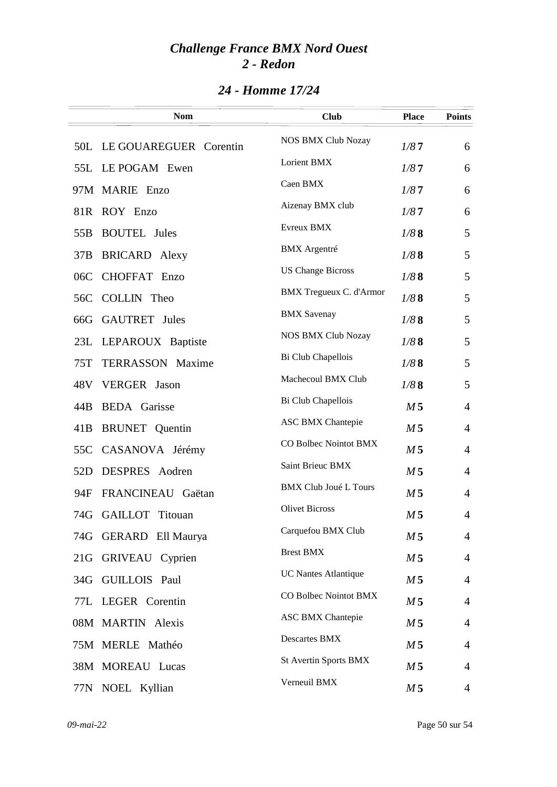|                 | <b>Nom</b>              | <b>Club</b>                  | <b>Place</b>   | <b>Points</b>  |
|-----------------|-------------------------|------------------------------|----------------|----------------|
| 50L             | LE GOUAREGUER Corentin  | <b>NOS BMX Club Nozay</b>    | 1/87           | 6              |
| 55L             | LE POGAM Ewen           | Lorient BMX                  | 1/87           | 6              |
|                 | 97M MARIE Enzo          | Caen BMX                     | 1/87           | 6              |
| 81R             | ROY Enzo                | Aizenay BMX club             | 1/87           | 6              |
| 55 <sub>B</sub> | <b>BOUTEL</b> Jules     | Evreux BMX                   | 1/88           | 5              |
| 37B             | <b>BRICARD</b> Alexy    | <b>BMX</b> Argentré          | 1/88           | 5              |
| 06C             | CHOFFAT Enzo            | <b>US Change Bicross</b>     | 1/88           | 5              |
| 56C             | COLLIN Theo             | BMX Tregueux C. d'Armor      | 1/88           | 5              |
| 66G             | <b>GAUTRET</b> Jules    | <b>BMX</b> Savenay           | 1/88           | 5              |
|                 | 23L LEPAROUX Baptiste   | <b>NOS BMX Club Nozay</b>    | 1/88           | 5              |
| 75T             | <b>TERRASSON</b> Maxime | Bi Club Chapellois           | 1/88           | 5              |
| 48V             | <b>VERGER</b> Jason     | Machecoul BMX Club           | 1/88           | 5              |
| 44B             | <b>BEDA</b> Garisse     | Bi Club Chapellois           | M <sub>5</sub> | $\overline{4}$ |
| 41B             | <b>BRUNET</b> Quentin   | <b>ASC BMX Chantepie</b>     | M <sub>5</sub> | $\overline{4}$ |
| 55C             | CASANOVA Jérémy         | CO Bolbec Nointot BMX        | M <sub>5</sub> | $\overline{4}$ |
| 52D             | DESPRES Aodren          | Saint Brieuc BMX             | M <sub>5</sub> | $\overline{4}$ |
| 94F             | FRANCINEAU Gaëtan       | <b>BMX Club Joué L Tours</b> | M <sub>5</sub> | $\overline{4}$ |
|                 | 74G GAILLOT Titouan     | <b>Olivet Bicross</b>        | M <sub>5</sub> | $\overline{4}$ |
|                 | 74G GERARD Ell Maurya   | Carquefou BMX Club           | M <sub>5</sub> | $\overline{4}$ |
| 21G             | GRIVEAU Cyprien         | <b>Brest BMX</b>             | M <sub>5</sub> | $\overline{4}$ |
| 34G             | GUILLOIS Paul           | <b>UC Nantes Atlantique</b>  | M <sub>5</sub> | $\overline{4}$ |
|                 | 77L LEGER Corentin      | CO Bolbec Nointot BMX        | M <sub>5</sub> | $\overline{4}$ |
|                 | 08M MARTIN Alexis       | <b>ASC BMX Chantepie</b>     | M <sub>5</sub> | $\overline{4}$ |
|                 | 75M MERLE Mathéo        | Descartes BMX                | M <sub>5</sub> | $\overline{4}$ |
|                 | 38M MOREAU Lucas        | <b>St Avertin Sports BMX</b> | M <sub>5</sub> | $\overline{4}$ |
|                 | 77N NOEL Kyllian        | Verneuil BMX                 | M <sub>5</sub> | 4              |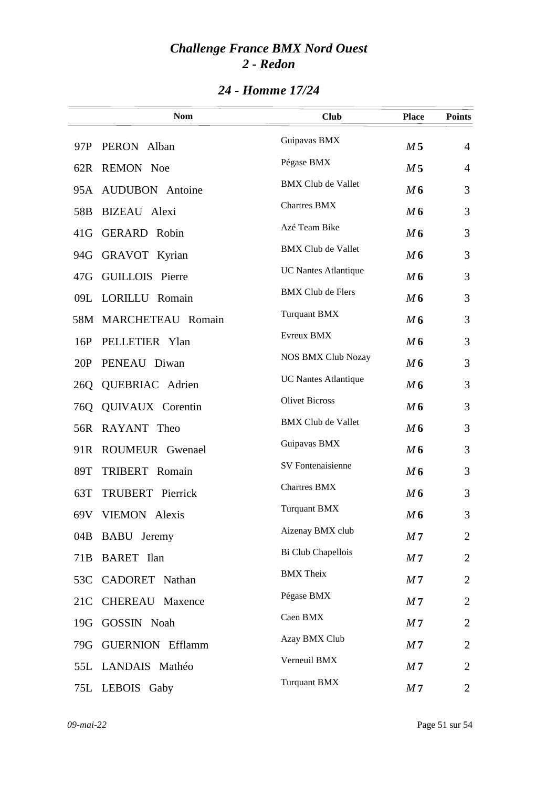|                 | <b>Nom</b>             | <b>Club</b>                 | <b>Place</b>   | <b>Points</b>  |
|-----------------|------------------------|-----------------------------|----------------|----------------|
| 97P             | PERON Alban            | Guipavas BMX                | M <sub>5</sub> | $\overline{4}$ |
|                 | 62R REMON Noe          | Pégase BMX                  | M <sub>5</sub> | $\overline{4}$ |
|                 | 95A AUDUBON Antoine    | <b>BMX Club de Vallet</b>   | M6             | 3              |
| 58 <sub>B</sub> | BIZEAU Alexi           | <b>Chartres BMX</b>         | M6             | 3              |
| 41G             | <b>GERARD</b> Robin    | Azé Team Bike               | M6             | 3              |
| 94G             | GRAVOT Kyrian          | <b>BMX Club de Vallet</b>   | M6             | 3              |
| 47G             | <b>GUILLOIS</b> Pierre | <b>UC Nantes Atlantique</b> | M6             | 3              |
|                 | 09L LORILLU Romain     | <b>BMX Club de Flers</b>    | M6             | 3              |
|                 | 58M MARCHETEAU Romain  | <b>Turquant BMX</b>         | M6             | 3              |
| 16P             | PELLETIER Ylan         | Evreux BMX                  | M6             | 3              |
| 20P             | PENEAU Diwan           | <b>NOS BMX Club Nozay</b>   | M6             | 3              |
| 26Q             | QUEBRIAC Adrien        | <b>UC Nantes Atlantique</b> | M6             | 3              |
| 76Q             | QUIVAUX Corentin       | <b>Olivet Bicross</b>       | M6             | 3              |
|                 | 56R RAYANT Theo        | <b>BMX Club de Vallet</b>   | M6             | 3              |
|                 | 91R ROUMEUR Gwenael    | Guipavas BMX                | M6             | 3              |
| 89T             | <b>TRIBERT</b> Romain  | SV Fontenaisienne           | M6             | 3              |
| 63T             | TRUBERT Pierrick       | Chartres BMX                | M6             | 3              |
|                 | 69V VIEMON Alexis      | <b>Turquant BMX</b>         | M <sub>6</sub> | 3              |
|                 | 04B BABU Jeremy        | Aizenay BMX club            | M <sub>7</sub> | $\overline{2}$ |
| 71 <sub>B</sub> | <b>BARET</b> Ilan      | Bi Club Chapellois          | M <sub>7</sub> | $\overline{2}$ |
|                 | 53C CADORET Nathan     | <b>BMX</b> Theix            | M <sub>7</sub> | $\overline{2}$ |
| 21C             | <b>CHEREAU</b> Maxence | Pégase BMX                  | M <sub>7</sub> | $\overline{2}$ |
| 19G             | GOSSIN Noah            | Caen BMX                    | M <sub>7</sub> | $\overline{2}$ |
|                 | 79G GUERNION Efflamm   | Azay BMX Club               | M <sub>7</sub> | $\overline{2}$ |
|                 | 55L LANDAIS Mathéo     | Verneuil BMX                | M <sub>7</sub> | $\overline{2}$ |
|                 | 75L LEBOIS Gaby        | <b>Turquant BMX</b>         | M <sub>7</sub> | $\overline{2}$ |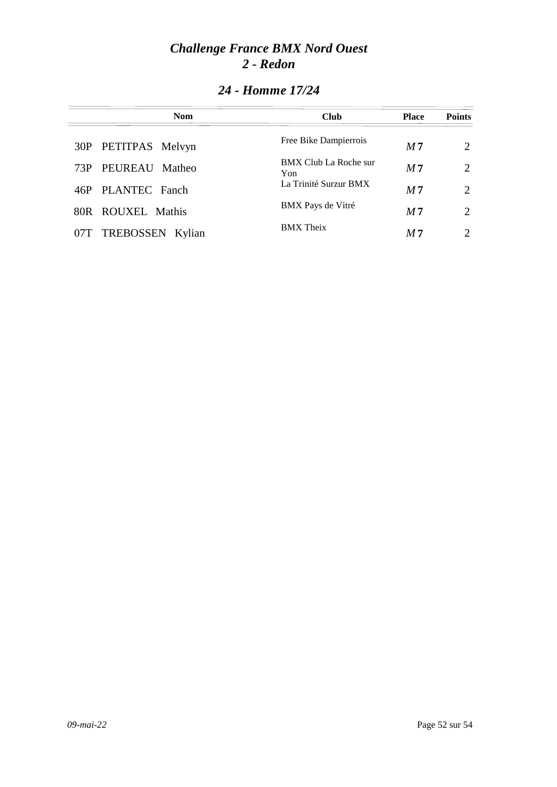| <b>Nom</b>           | <b>Club</b>                  | <b>Place</b>   | <b>Points</b>               |
|----------------------|------------------------------|----------------|-----------------------------|
| 30P PETITPAS Melvyn  | Free Bike Dampierrois        | M <sub>7</sub> | $\mathcal{D}_{\cdot}$       |
| 73P PEUREAU Matheo   | BMX Club La Roche sur<br>Yon | M <sub>7</sub> | 2                           |
| 46P PLANTEC Fanch    | La Trinité Surzur BMX        | M <sub>7</sub> | $\mathcal{D}_{\mathcal{L}}$ |
| 80R ROUXEL Mathis    | BMX Pays de Vitré            | M <sub>7</sub> | $\mathcal{D}_{\cdot}$       |
| 07T TREBOSSEN Kylian | <b>BMX</b> Theix             | M 7            | $\mathcal{D}_{\cdot}$       |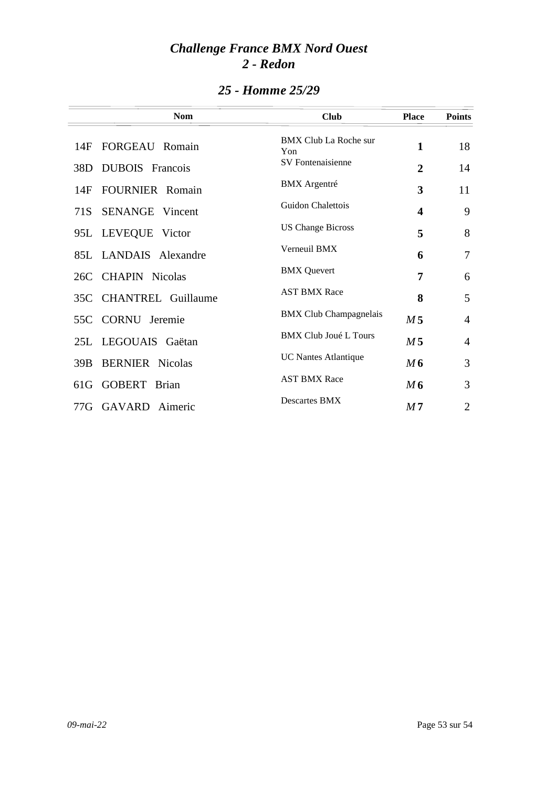| <b>Nom</b>                    | <b>Club</b>                         | <b>Place</b>            | <b>Points</b>  |
|-------------------------------|-------------------------------------|-------------------------|----------------|
| FORGEAU Romain<br>14F         | <b>BMX Club La Roche sur</b><br>Yon | 1                       | 18             |
| <b>DUBOIS</b> Francois<br>38D | <b>SV</b> Fontenaisienne            | 2                       | 14             |
| <b>FOURNIER</b> Romain<br>14F | <b>BMX</b> Argentré                 | 3                       | 11             |
| <b>SENANGE</b> Vincent<br>71S | Guidon Chalettois                   | $\overline{\mathbf{4}}$ | 9              |
| 95L LEVEQUE Victor            | <b>US Change Bicross</b>            | 5                       | 8              |
| 85L LANDAIS Alexandre         | Verneuil BMX                        | 6                       | 7              |
| 26C CHAPIN Nicolas            | <b>BMX</b> Quevert                  | 7                       | 6              |
| 35C CHANTREL Guillaume        | <b>AST BMX Race</b>                 | 8                       | 5              |
| CORNU Jeremie<br>55C          | <b>BMX Club Champagnelais</b>       | M <sub>5</sub>          | $\overline{4}$ |
| 25L LEGOUAIS Gaëtan           | <b>BMX Club Joué L Tours</b>        | M <sub>5</sub>          | $\overline{4}$ |
| <b>BERNIER</b> Nicolas<br>39B | <b>UC Nantes Atlantique</b>         | M6                      | 3              |
| GOBERT Brian<br>61G           | <b>AST BMX Race</b>                 | M6                      | 3              |
| 77G GAVARD Aimeric            | <b>Descartes BMX</b>                | M <sub>7</sub>          | $\overline{2}$ |

### *25 - Homme 25/29*